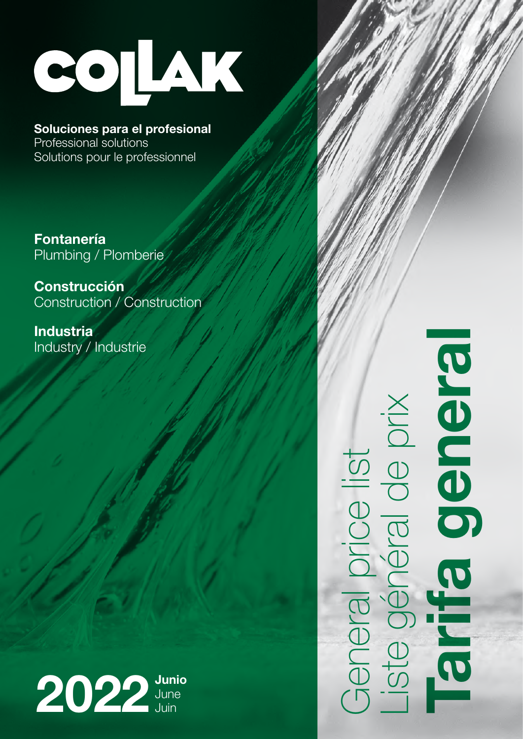

Soluciones para el profesional

Professional solutions Solutions pour le professionnel

Fontanería Plumbing / Plomberie

Construcción Construction / Construction

Industria Industry / Industrie



Tarifa general **Bielde** General price list<br>Liste général de prix<br>Tarrifa gen Liste général de prix General price list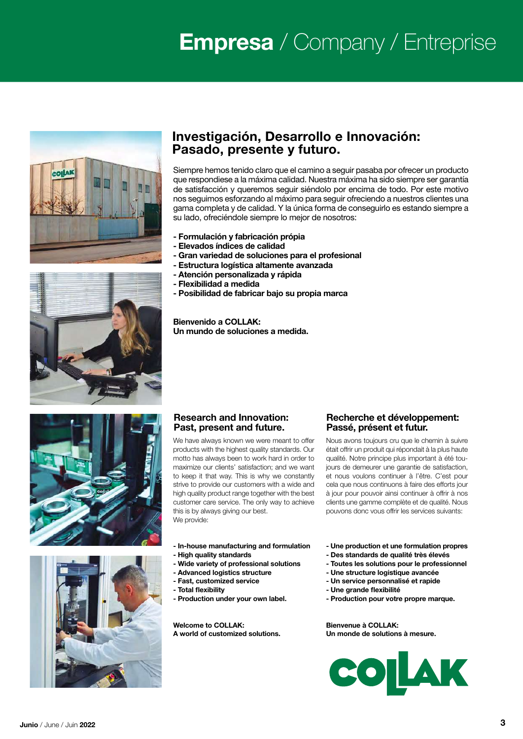# **Empresa** / Company / Entreprise





# Investigación, Desarrollo e Innovación: Pasado, presente y futuro.

Siempre hemos tenido claro que el camino a seguir pasaba por ofrecer un producto que respondiese a la máxima calidad. Nuestra máxima ha sido siempre ser garantía de satisfacción y queremos seguir siéndolo por encima de todo. Por este motivo nos seguimos esforzando al máximo para seguir ofreciendo a nuestros clientes una gama completa y de calidad. Y la única forma de conseguirlo es estando siempre a su lado, ofreciéndole siempre lo mejor de nosotros:

- Formulación y fabricación própia
- Elevados índices de calidad
- Gran variedad de soluciones para el profesional
- Estructura logística altamente avanzada
- Atención personalizada y rápida
- Flexibilidad a medida
- Posibilidad de fabricar bajo su propia marca

Bienvenido a COLLAK: Un mundo de soluciones a medida.





#### Research and Innovation: Past, present and future.

We have always known we were meant to offer products with the highest quality standards. Our motto has always been to work hard in order to maximize our clients' satisfaction; and we want to keep it that way. This is why we constantly strive to provide our customers with a wide and high quality product range together with the best customer care service. The only way to achieve this is by always giving our best. We provide:

#### Recherche et développement: Passé, présent et futur.

Nous avons toujours cru que le chemin à suivre était offrir un produit qui répondait à la plus haute qualité. Notre principe plus important à été toujours de demeurer une garantie de satisfaction, et nous voulons continuer à l'être. C'est pour cela que nous continuons à faire des efforts jour à jour pour pouvoir ainsi continuer à offrir à nos clients une gamme complète et de qualité. Nous pouvons donc vous offrir les services suivants:

- In-house manufacturing and formulation
- High quality standards
- Wide variety of professional solutions
- Advanced logistics structure
- Fast, customized service
- Total flexibility
- Production under your own label.

Welcome to COLLAK: A world of customized solutions.

- Une production et une formulation propres
- Des standards de qualité très élevés
- Toutes les solutions pour le professionnel
- Une structure logistique avancée
- Un service personnalisé et rapide
- Une grande flexibilité
- Production pour votre propre marque.

Bienvenue à COLLAK: Un monde de solutions à mesure.

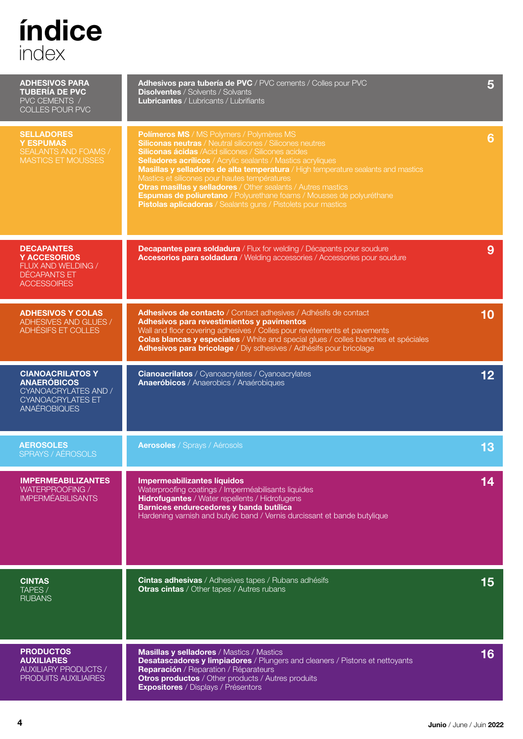# índice index

| <b>ADHESIVOS PARA</b><br><b>TUBERÍA DE PVC</b><br>PVC CEMENTS /<br>COLLES POUR PVC                                       | <b>Adhesivos para tubería de PVC</b> / PVC cements / Colles pour PVC<br><b>Disolventes / Solvents / Solvants</b><br><b>Lubricantes / Lubricants / Lubrifiants</b>                                                                                                                                                                                                                                                                                                                                                                                                                                          | 5               |
|--------------------------------------------------------------------------------------------------------------------------|------------------------------------------------------------------------------------------------------------------------------------------------------------------------------------------------------------------------------------------------------------------------------------------------------------------------------------------------------------------------------------------------------------------------------------------------------------------------------------------------------------------------------------------------------------------------------------------------------------|-----------------|
| <b>SELLADORES</b><br><b>Y ESPUMAS</b><br>SEALANTS AND FOAMS /<br><b>MASTICS ET MOUSSES</b>                               | Polímeros MS / MS Polymers / Polymères MS<br><b>Siliconas neutras</b> / Neutral silicones / Silicones neutres<br><b>Siliconas ácidas</b> /Acid silicones / Silicones acides<br><b>Selladores acrílicos</b> / Acrylic sealants / Mastics acryliques<br>Masillas y selladores de alta temperatura / High temperature sealants and mastics<br>Mastics et silicones pour hautes températures<br><b>Otras masillas y selladores</b> / Other sealants / Autres mastics<br>Espumas de poliuretano / Polyurethane foams / Mousses de polyuréthane<br>Pistolas aplicadoras / Sealants guns / Pistolets pour mastics | 6               |
| <b>DECAPANTES</b><br><b>Y ACCESORIOS</b><br>FLUX AND WELDING /<br>DÉCAPANTS ET<br><b>ACCESSOIRES</b>                     | Decapantes para soldadura / Flux for welding / Décapants pour soudure<br>Accesorios para soldadura / Welding accessories / Accessories pour soudure                                                                                                                                                                                                                                                                                                                                                                                                                                                        | 9               |
| <b>ADHESIVOS Y COLAS</b><br>ADHESIVES AND GLUES /<br>ADHÉSIFS ET COLLES                                                  | Adhesivos de contacto / Contact adhesives / Adhésifs de contact<br>Adhesivos para revestimientos y pavimentos<br>Wall and floor covering adhesives / Colles pour revétements et pavements<br><b>Colas blancas y especiales</b> / White and special glues / colles blanches et spéciales<br>Adhesivos para bricolage / Diy sdhesives / Adhésifs pour bricolage                                                                                                                                                                                                                                              | 10              |
| <b>CIANOACRILATOS Y</b><br><b>ANAERÓBICOS</b><br>CYANOACRYLATES AND /<br><b>CYANOACRYLATES ET</b><br><b>ANAÉROBIQUES</b> | <b>Cianoacrilatos</b> / Cyanoacrylates / Cyanoacrylates<br><b>Anaeróbicos</b> / Anaerobics / Anaérobiques                                                                                                                                                                                                                                                                                                                                                                                                                                                                                                  | 12 <sub>2</sub> |
| <b>AEROSOLES</b><br>SPRAYS / AÉROSOLS                                                                                    | <b>Aerosoles</b> / Sprays / Aérosols                                                                                                                                                                                                                                                                                                                                                                                                                                                                                                                                                                       | 13              |
| <b>IMPERMEABILIZANTES</b><br>WATERPROOFING /<br><b>IMPERMÉABILISANTS</b>                                                 | Impermeabilizantes líquidos<br>Waterproofing coatings / Imperméabilisants liquides<br>Hidrofugantes / Water repellents / Hidrofugens<br>Barnices endurecedores y banda butílica<br>Hardening varnish and butylic band / Vernis durcissant et bande butylique                                                                                                                                                                                                                                                                                                                                               | 14              |
| <b>CINTAS</b><br>TAPES /<br><b>RUBANS</b>                                                                                | Cintas adhesivas / Adhesives tapes / Rubans adhésifs<br><b>Otras cintas</b> / Other tapes / Autres rubans                                                                                                                                                                                                                                                                                                                                                                                                                                                                                                  | 15              |
| <b>PRODUCTOS</b><br><b>AUXILIARES</b><br><b>AUXILIARY PRODUCTS /</b><br><b>PRODUITS AUXILIAIRES</b>                      | <b>Masillas y selladores / Mastics / Mastics</b><br><b>Desatascadores y limpiadores</b> / Plungers and cleaners / Pistons et nettoyants<br>Reparación / Reparation / Réparateurs<br><b>Otros productos</b> / Other products / Autres produits<br><b>Expositores</b> / Displays / Présentors                                                                                                                                                                                                                                                                                                                | 16              |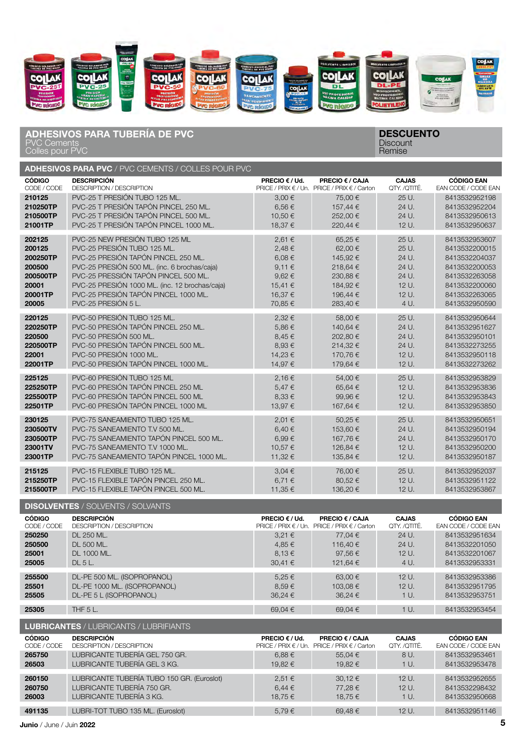

#### PVC Cements Colles pour PVC ADHESIVOS PARA TUBERÍA DE PVC DESCUENTO

# **Discount** Remise

|               | <b>ADHESIVOS PARA PVC / PVC CEMENTS / COLLES POUR PVC</b> |                         |                                              |              |                     |
|---------------|-----------------------------------------------------------|-------------------------|----------------------------------------------|--------------|---------------------|
| <b>CÓDIGO</b> | <b>DESCRIPCIÓN</b>                                        | PRECIO $\epsilon$ / Ud. | <b>PRECIO € / CAJA</b>                       | <b>CAJAS</b> | <b>CÓDIGO EAN</b>   |
| CODE / CODE   | DESCRIPTION / DESCRIPTION                                 |                         | PRICE / PRIX € / Un. PRICE / PRIX € / Carton | QTY. /QTITÉ. | EAN CODE / CODE EAN |
| 210125        | PVC-25 T PRESIÓN TUBO 125 ML.                             | 3,00€                   | 75,00 €                                      | 25 U.        | 8413532952198       |
| 210250TP      | PVC-25 T PRESIÓN TAPÓN PINCEL 250 ML.                     | 6,56€                   | 157,44 €                                     | 24 U.        | 8413532952204       |
| 210500TP      | PVC-25 T PRESIÓN TAPÓN PINCEL 500 ML.                     | 10,50€                  | 252,00€                                      | 24 U.        | 8413532950613       |
| 21001TP       | PVC-25 T PRESIÓN TAPÓN PINCEL 1000 ML.                    | 18,37€                  | 220.44 €                                     | 12 U.        | 8413532950637       |
| 202125        | PVC-25 NEW PRESIÓN TUBO 125 ML                            | 2,61€                   | 65,25€                                       | $25U$ .      | 8413532953607       |
| 200125        | PVC-25 PRESIÓN TUBO 125 ML.                               | 2,48€                   | 62,00€                                       | 25 U.        | 8413532200015       |
| 200250TP      | PVC-25 PRESIÓN TAPÓN PINCEL 250 ML.                       | 6,08€                   | 145,92€                                      | 24 U.        | 8413532204037       |
| 200500        | PVC-25 PRESIÓN 500 ML. (inc. 6 brochas/caja)              | 9,11€                   | 218,64€                                      | 24 U.        | 8413532200053       |
| 200500TP      | PVC-25 PRESSIÓN TAPÓN PINCEL 500 ML.                      | 9,62€                   | 230,88€                                      | 24 U.        | 8413532263058       |
| 20001         | PVC-25 PRESIÓN 1000 ML. (inc. 12 brochas/caja)            | 15,41 €                 | 184,92€                                      | 12 U.        | 8413532200060       |
| 20001TP       | PVC-25 PRESIÓN TAPÓN PINCEL 1000 ML.                      | 16,37 €                 | 196,44 €                                     | 12 U.        | 8413532263065       |
| 20005         | PVC-25 PRESIÓN 5 L.                                       | 70,85 €                 | 283,40€                                      | 4 U.         | 8413532950590       |
| 220125        | PVC-50 PRESIÓN TUBO 125 ML.                               | 2,32€                   | 58,00€                                       | 25 U.        | 8413532950644       |
| 220250TP      | PVC-50 PRESIÓN TAPÓN PINCEL 250 ML.                       | 5,86€                   | 140,64 €                                     | 24 U.        | 8413532951627       |
| 220500        | PVC-50 PRESIÓN 500 ML.                                    | 8,45€                   | 202,80€                                      | 24 U.        | 8413532950101       |
| 220500TP      | PVC-50 PRESIÓN TAPÓN PINCEL 500 ML.                       | 8,93€                   | 214,32€                                      | 24 U.        | 8413532273255       |
| 22001         | PVC-50 PRESIÓN 1000 ML.                                   | 14,23€                  | 170,76€                                      | 12 U.        | 8413532950118       |
| 22001TP       | PVC-50 PRESIÓN TAPÓN PINCEL 1000 ML.                      | 14.97 €                 | 179.64 €                                     | $12U$ .      | 8413532273262       |
| 225125        | PVC-60 PRESIÓN TUBO 125 ML                                | 2,16€                   | 54,00€                                       | 25 U.        | 8413532953829       |
| 225250TP      | PVC-60 PRESIÓN TAPÓN PINCEL 250 ML                        | 5,47€                   | 65,64€                                       | 12 U.        | 8413532953836       |
| 225500TP      | PVC-60 PRESIÓN TAPÓN PINCEL 500 ML                        | 8,33 €                  | 99,96€                                       | 12 U.        | 8413532953843       |
| 22501TP       | PVC-60 PRESIÓN TAPÓN PINCEL 1000 ML                       | 13,97€                  | 167,64 €                                     | 12 U.        | 8413532953850       |
| 230125        | PVC-75 SANEAMIENTO TUBO 125 ML.                           | 2,01€                   | 50,25€                                       | $25U$ .      | 8413532950651       |
| 230500TV      | PVC-75 SANEAMIENTO T.V 500 ML.                            | 6,40€                   | 153,60 €                                     | 24 U.        | 8413532950194       |
| 230500TP      | PVC-75 SANEAMIENTO TAPÓN PINCEL 500 ML.                   | 6,99€                   | 167,76€                                      | 24 U.        | 8413532950170       |
| 23001TV       | PVC-75 SANEAMIENTO T.V 1000 ML.                           | 10,57 €                 | 126,84 €                                     | 12 U.        | 8413532950200       |
| 23001TP       | PVC-75 SANEAMIENTO TAPÓN PINCEL 1000 ML.                  | 11,32 €                 | 135,84 €                                     | 12 U.        | 8413532950187       |
| 215125        | PVC-15 FLEXIBLE TUBO 125 ML.                              | $3,04 \in$              | 76,00 €                                      | 25 U.        | 8413532952037       |
| 215250TP      | PVC-15 FLEXIBLE TAPÓN PINCEL 250 ML.                      | 6,71 €                  | 80,52€                                       | 12 U.        | 8413532951122       |
| 215500TP      | PVC-15 FLEXIBLE TAPÓN PINCEL 500 ML.                      | 11,35 €                 | 136,20€                                      | 12 U.        | 8413532953867       |

DISOLVENTES / SOLVENTS / SOLVANTS **CÓDIGO** CODE / CODE DESCRIPCIÓN DESCRIPTION / DESCRIPTION PRECIO  $\epsilon$  / Ud. PRICE / PRIX € / Un. PRICE / PRIX € / Carton PRECIO € / CAJA CAJAS QTY. /QTITÉ. CÓDIGO EAN EAN CODE / CODE EAN **250250** DL 250 ML. 3,21 € 77,04 € 24 U. 8413532951634 250500 DL 500 ML. 4,85 € 116,40 € 24 U. 8413532201050 25001 DL 1000 ML. 8,13 € 97,56 € 12 U. 8413532201067 **25005** DL 5 L. 30,41 € 121,64 € 4 U. 8413532953331 **255500** DL-PE 500 ML. (ISOPROPANOL) 5,25 € 63,00 € 12 U. 8413532953386 **25501** DL-PE 1000 ML. (ISOPROPANOL) 8,59 € 103,08 € 12 U. 8413532951795 **25505** DL-PE 5 L (ISOPROPANOL) 36,24 € 36,24 € 1 U. 8413532953751 **25305** THF 5 L. CONSEQUENCE 1 CONSEQUENCE 1 CONSEQUENCE 1 CONSEQUENCE 1 CONSEQUENCE 1 CONSEQUENCE 1 CONSEQUENCE 1 CONSEQUENCE 1 CONSEQUENCE 1 CONSEQUENCE 1 CONSEQUENCE 1 CONSEQUENCE 1 CONSEQUENCE 1 CONSEQUENCE 1 CONSEQU LUBRICANTES / LUBRICANTS / LUBRIFIANTS

|               | <b>LUDNIVANI LO</b> / LUDNIVANI O / LUDNII IANI O |                         |                                              |              |                     |
|---------------|---------------------------------------------------|-------------------------|----------------------------------------------|--------------|---------------------|
| <b>CÓDIGO</b> | <b>DESCRIPCIÓN</b>                                | PRECIO $\epsilon$ / Ud. | <b>PRECIO € / CAJA</b>                       | <b>CAJAS</b> | <b>CÓDIGO EAN</b>   |
| CODE / CODE   | DESCRIPTION / DESCRIPTION                         |                         | PRICE / PRIX € / Un. PRICE / PRIX € / Carton | QTY. /QTITÉ. | EAN CODE / CODE EAN |
| 265750        | LUBRICANTE TUBERÍA GEL 750 GR.                    | 6.88 $\epsilon$         | 55.04€                                       | 8 U.         | 8413532953461       |
| 26503         | LUBRICANTE TUBERÍA GEL 3 KG.                      | 19.82 €                 | 19.82 €                                      | 1 U.         | 8413532953478       |
| 260150        | LUBRICANTE TUBERÍA TUBO 150 GR. (Euroslot)        | $2,51 \in$              | $30,12 \in$                                  | $12U$ .      | 8413532952655       |
| 260750        | LUBRICANTE TUBERÍA 750 GR.                        | $6,44 \in$              | 77.28 €                                      | $12U$ .      | 8413532298432       |
| 26003         | LUBRICANTE TUBERÍA 3 KG.                          | 18.75 €                 | 18.75 €                                      | 1 U.         | 8413532950668       |
| 491135        | LUBRI-TOT TUBO 135 ML. (Euroslot)                 | 5.79€                   | 69.48€                                       | 12 U.        | 8413532951146       |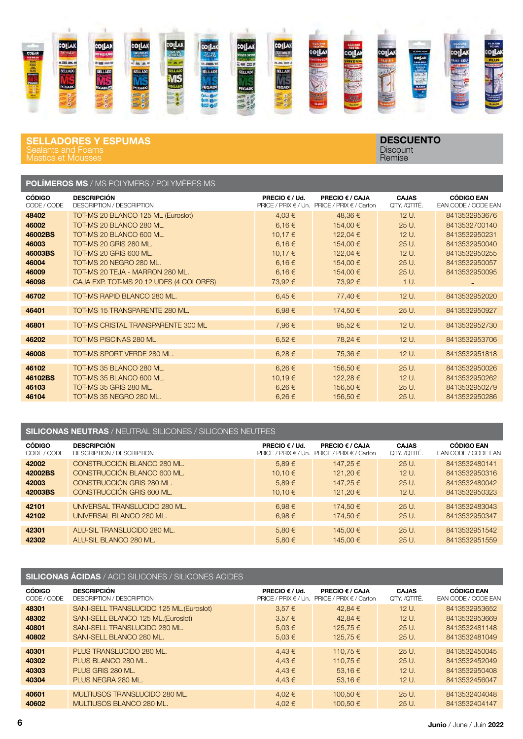

#### SELLADORES Y ESPUMAS Sealants and Foams Mastics et Mousses

**DESCUENTO Discount** Remise

## POLÍMEROS MS / MS POLYMERS / POLYMÈRES MS

| <b>CÓDIGO</b>                                                            | <b>DESCRIPCIÓN</b>                                                                                                                                                                                                                                                    | PRECIO $\epsilon$ / Ud.                                                   | PRECIO € / CAJA                                                                          | <b>CAJAS</b>                                                          | <b>CÓDIGO EAN</b>                                                                                                   |
|--------------------------------------------------------------------------|-----------------------------------------------------------------------------------------------------------------------------------------------------------------------------------------------------------------------------------------------------------------------|---------------------------------------------------------------------------|------------------------------------------------------------------------------------------|-----------------------------------------------------------------------|---------------------------------------------------------------------------------------------------------------------|
| CODE / CODE                                                              | <b>DESCRIPTION / DESCRIPTION</b>                                                                                                                                                                                                                                      |                                                                           | PRICE / PRIX € / Un. PRICE / PRIX € / Carton                                             | QTY. /QTITÉ.                                                          | EAN CODE / CODE EAN                                                                                                 |
| 48402<br>46002<br>46002BS<br>46003<br>46003BS<br>46004<br>46009<br>46098 | TOT-MS 20 BLANCO 125 ML (Euroslot)<br>TOT-MS 20 BLANCO 280 ML.<br>TOT-MS 20 BLANCO 600 ML.<br><b>TOT-MS 20 GRIS 280 ML.</b><br><b>TOT-MS 20 GRIS 600 ML.</b><br>TOT-MS 20 NEGRO 280 ML.<br>TOT-MS 20 TEJA - MARRON 280 ML.<br>CAJA EXP. TOT-MS 20 12 UDES (4 COLORES) | 4,03€<br>6,16€<br>10,17 €<br>6,16€<br>10,17 €<br>6,16€<br>6,16€<br>73,92€ | 48,36€<br>154,00 €<br>122,04 €<br>154,00 €<br>122,04 €<br>154,00 €<br>154,00 €<br>73,92€ | 12 U.<br>25 U.<br>12 U.<br>25 U.<br>12 U.<br>$25U$ .<br>25 U.<br>1 U. | 8413532953676<br>8413532700140<br>8413532950231<br>8413532950040<br>8413532950255<br>8413532950057<br>8413532950095 |
| 46702                                                                    | TOT-MS RAPID BLANCO 280 ML.                                                                                                                                                                                                                                           | 6,45€                                                                     | 77,40 €                                                                                  | 12 U.                                                                 | 8413532952020                                                                                                       |
| 46401                                                                    | TOT-MS 15 TRANSPARENTE 280 ML.                                                                                                                                                                                                                                        | 6,98€                                                                     | 174,50 €                                                                                 | 25 U.                                                                 | 8413532950927                                                                                                       |
| 46801                                                                    | TOT-MS CRISTAL TRANSPARENTE 300 ML                                                                                                                                                                                                                                    | 7,96€                                                                     | 95,52€                                                                                   | $12U$ .                                                               | 8413532952730                                                                                                       |
| 46202                                                                    | <b>TOT-MS PISCINAS 280 ML</b>                                                                                                                                                                                                                                         | $6.52 \in$                                                                | 78,24 €                                                                                  | 12 U.                                                                 | 8413532953706                                                                                                       |
| 46008                                                                    | TOT-MS SPORT VERDE 280 ML.                                                                                                                                                                                                                                            | 6,28€                                                                     | 75,36€                                                                                   | 12 U.                                                                 | 8413532951818                                                                                                       |
| 46102                                                                    | TOT-MS 35 BLANCO 280 ML.                                                                                                                                                                                                                                              | $6.26 \in$                                                                | 156,50€                                                                                  | 25 U.                                                                 | 8413532950026                                                                                                       |
| 46102BS                                                                  | TOT-MS 35 BLANCO 600 ML.                                                                                                                                                                                                                                              | 10,19€                                                                    | 122,28€                                                                                  | $12U$ .                                                               | 8413532950262                                                                                                       |
| 46103                                                                    | <b>TOT-MS 35 GRIS 280 ML.</b>                                                                                                                                                                                                                                         | $6.26 \in$                                                                | 156,50€                                                                                  | 25 U.                                                                 | 8413532950279                                                                                                       |
| 46104                                                                    | TOT-MS 35 NEGRO 280 ML.                                                                                                                                                                                                                                               | 6,26€                                                                     | 156,50€                                                                                  | 25 U.                                                                 | 8413532950286                                                                                                       |

#### SILICONAS NEUTRAS / NEUTRAL SILICONES / SILICONES NEUTRES

| <b>CÓDIGO</b> | <b>DESCRIPCIÓN</b>               | <b>PRECIO <math>\epsilon</math> / Ud.</b> | <b>PRECIO € / CAJA</b>      | <b>CAJAS</b> | <b>CÓDIGO EAN</b>          |
|---------------|----------------------------------|-------------------------------------------|-----------------------------|--------------|----------------------------|
| CODE / CODE   | <b>DESCRIPTION / DESCRIPTION</b> | PRICE / PRIX $\in$ / Un.                  | PRICE / PRIX $\in$ / Carton | OTY. /OTITÉ. | <b>EAN CODE / CODE EAN</b> |
| 42002         | CONSTRUCCIÓN BLANCO 280 ML.      | 5,89€                                     | 147.25 €                    | $25U$ .      | 8413532480141              |
| 42002BS       | CONSTRUCCIÓN BLANCO 600 ML.      | 10.10€                                    | 121.20€                     | $12U$ .      | 8413532950316              |
| 42003         | CONSTRUCCIÓN GRIS 280 ML.        | $5.89 \in$                                | 147,25€                     | $25U$ .      | 8413532480042              |
| 42003BS       | CONSTRUCCIÓN GRIS 600 ML.        | 10.10€                                    | 121.20€                     | 12 U.        | 8413532950323              |
| 42101         | UNIVERSAL TRANSLUCIDO 280 ML.    | $6.98 \in$                                | 174.50€                     | 25U.         | 8413532483043              |
| 42102         | UNIVERSAL BLANCO 280 ML.         | $6.98 \in$                                | 174,50€                     | 25 U.        | 8413532950347              |
| 42301         | ALU-SIL TRANSLUCIDO 280 ML.      | $5,80 \in$                                | 145.00 €                    | 25U.         | 8413532951542              |
| 42302         | ALU-SIL BLANCO 280 ML.           | $5,80 \in$                                | 145.00 €                    | $25U$ .      | 8413532951559              |

# SILICONAS ÁCIDAS / ACID SILICONES / SILICONES ACIDES

| <b>CÓDIGO</b><br>CODE / CODE | <b>DESCRIPCIÓN</b><br><b>DESCRIPTION / DESCRIPTION</b> | PRECIO $\epsilon$ / Ud.<br>PRICE / PRIX $\in$ / Un. | <b>PRECIO € / CAJA</b><br><b>PRICE / PRIX <math>\in</math> / Carton</b> | <b>CAJAS</b><br>QTY. /QTITÉ. | <b>CÓDIGO EAN</b><br><b>EAN CODE / CODE EAN</b> |
|------------------------------|--------------------------------------------------------|-----------------------------------------------------|-------------------------------------------------------------------------|------------------------------|-------------------------------------------------|
| 48301                        | SANI-SELL TRANSLUCIDO 125 ML. (Euroslot)               | $3.57 \in$                                          | 42.84€                                                                  | 12 U.                        | 8413532953652                                   |
| 48302                        | SANI-SELL BLANCO 125 ML. (Euroslot)                    | 3,57€                                               | 42.84€                                                                  | 12 U.                        | 8413532953669                                   |
| 40801                        | SANI-SELL TRANSLUCIDO 280 ML.                          | $5.03 \in$                                          | 125.75 €                                                                | $25U$ .                      | 8413532481148                                   |
| 40802                        | SANI-SELL BLANCO 280 ML.                               | $5.03 \in$                                          | 125,75€                                                                 | 25 U.                        | 8413532481049                                   |
|                              |                                                        |                                                     |                                                                         |                              |                                                 |
| 40301                        | PLUS TRANSLUCIDO 280 ML.                               | 4,43€                                               | 110.75 €                                                                | $25U$ .                      | 8413532450045                                   |
| 40302                        | PLUS BLANCO 280 ML.                                    | 4,43€                                               | 110.75 €                                                                | $25U$ .                      | 8413532452049                                   |
| 40303                        | PLUS GRIS 280 ML.                                      | $4.43 \in$                                          | 53.16€                                                                  | 12U                          | 8413532950408                                   |
| 40304                        | PLUS NEGRA 280 ML.                                     | $4,43 \in$                                          | 53.16€                                                                  | 12 U.                        | 8413532456047                                   |
|                              |                                                        |                                                     |                                                                         |                              |                                                 |
| 40601                        | MULTIUSOS TRANSLUCIDO 280 ML.                          | $4,02 \in$                                          | 100.50 €                                                                | $25U$ .                      | 8413532404048                                   |
| 40602                        | MULTIUSOS BLANCO 280 ML.                               | $4.02 \in$                                          | 100.50€                                                                 | $25U$ .                      | 8413532404147                                   |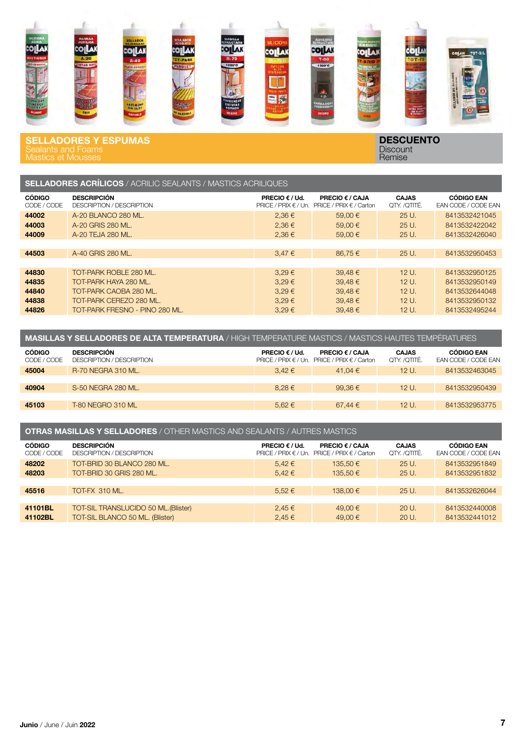

SELLADORES Y ESPUMAS Mastics et Mousses

DESCUENTO **Discount** Remise

| . |  | _ _ _ _ . _ _                                                       |  |
|---|--|---------------------------------------------------------------------|--|
|   |  | <b>SELLADORES ACRILICOS</b> / ACRILIC SEALANTS / MASTICS ACRILIQUES |  |

| <b>CÓDIGO</b><br>CODE / CODE | <b>DESCRIPCIÓN</b><br><b>DESCRIPTION / DESCRIPTION</b> | <b>PRECIO <math>\epsilon</math> / Ud.</b><br>PRICE / PRIX $\in$ / Un. | <b>PRECIO € / CAJA</b><br>PRICE / PRIX $\in$ / Carton | <b>CAJAS</b><br>QTY. /QTITÉ. | <b>CÓDIGO EAN</b><br><b>EAN CODE / CODE EAN</b> |
|------------------------------|--------------------------------------------------------|-----------------------------------------------------------------------|-------------------------------------------------------|------------------------------|-------------------------------------------------|
| 44002                        | A-20 BLANCO 280 ML.                                    | $2,36 \in$                                                            | 59.00 €                                               | 25 U.                        | 8413532421045                                   |
| 44003                        | A-20 GRIS 280 ML.                                      | 2,36€                                                                 | 59.00 €                                               | $25U$ .                      | 8413532422042                                   |
| 44009                        | A-20 TEJA 280 ML.                                      | $2,36 \in$                                                            | 59.00 €                                               | 25 U.                        | 8413532426040                                   |
|                              |                                                        |                                                                       |                                                       |                              |                                                 |
| 44503                        | A-40 GRIS 280 ML.                                      | $3,47 \in$                                                            | 86.75€                                                | 25 U.                        | 8413532950453                                   |
|                              |                                                        |                                                                       |                                                       |                              |                                                 |
| 44830                        | TOT-PARK ROBLE 280 ML.                                 | $3.29 \in$                                                            | 39,48€                                                | $12U$ .                      | 8413532950125                                   |
| 44835                        | TOT-PARK HAYA 280 ML.                                  | $3.29 \in$                                                            | $39,48 \in$                                           | 12 U.                        | 8413532950149                                   |
| 44840                        | TOT-PARK CAOBA 280 ML.                                 | $3.29 \in$                                                            | 39.48€                                                | 12 U.                        | 8413532644048                                   |
| 44838                        | TOT-PARK CEREZO 280 ML.                                | $3.29 \in$                                                            | 39.48€                                                | $12U$ .                      | 8413532950132                                   |
| 44826                        | TOT-PARK FRESNO - PINO 280 ML.                         | $3.29 \in$                                                            | 39.48€                                                | 12 U.                        | 8413532495244                                   |

| <b>MASILLAS Y SELLADORES DE ALTA TEMPERATURA</b> / HIGH TEMPERATURE MASTICS / MASTICS HAUTES TEMPÉRATURES |                                                 |                                |                                                                        |                              |                                          |  |
|-----------------------------------------------------------------------------------------------------------|-------------------------------------------------|--------------------------------|------------------------------------------------------------------------|------------------------------|------------------------------------------|--|
| <b>CÓDIGO</b><br>CODE / CODE                                                                              | <b>DESCRIPCIÓN</b><br>DESCRIPTION / DESCRIPTION | <b>PRECIO</b> $\epsilon$ / Ud. | <b>PRECIO € / CAJA</b><br>PRICE / PRIX € / Un. PRICE / PRIX € / Carton | <b>CAJAS</b><br>OTY. /OTITÉ. | <b>CÓDIGO EAN</b><br>EAN CODE / CODE EAN |  |
| 45004                                                                                                     | <b>R-70 NEGRA 310 ML.</b>                       | $3.42 \in$                     | 41.04 €                                                                | 12 U.                        | 8413532463045                            |  |
|                                                                                                           |                                                 |                                |                                                                        |                              |                                          |  |
| 40904                                                                                                     | S-50 NEGRA 280 ML.                              | $8.28 \in$                     | 99.36 $\epsilon$                                                       | $12U$ .                      | 8413532950439                            |  |
|                                                                                                           |                                                 |                                |                                                                        |                              |                                          |  |
| 45103                                                                                                     | <b>T-80 NEGRO 310 ML</b>                        | $5.62 \in$                     | $67.44 \in$                                                            | $12U$ .                      | 8413532953775                            |  |

#### OTRAS MASILLAS Y SELLADORES / OTHER MASTICS AND SEALANTS / AUTRES MASTICS

| <b>CÓDIGO</b><br>CODE / CODE | <b>DESCRIPCIÓN</b><br>DESCRIPTION / DESCRIPTION | <b>PRECIO <math>\epsilon</math> / Ud.</b><br>PRICE / PRIX $\in$ / Un. | <b>PRECIO € / CAJA</b><br><b>PRICE / PRIX € / Carton</b> | <b>CAJAS</b><br>QTY. /QTITÉ. | <b>CÓDIGO EAN</b><br>EAN CODE / CODE EAN |
|------------------------------|-------------------------------------------------|-----------------------------------------------------------------------|----------------------------------------------------------|------------------------------|------------------------------------------|
| 48202                        | TOT-BRID 30 BLANCO 280 ML.                      | $5,42 \in$                                                            | 135.50 €                                                 | $25U$ .                      | 8413532951849                            |
| 48203                        | TOT-BRID 30 GRIS 280 ML.                        | $5.42 \in$                                                            | 135.50 €                                                 | $25U$ .                      | 8413532951832                            |
|                              |                                                 |                                                                       |                                                          |                              |                                          |
| 45516                        | TOT-FX 310 ML.                                  | $5.52 \in$                                                            | 138.00 €                                                 | $25U$ .                      | 8413532626044                            |
|                              |                                                 |                                                                       |                                                          |                              |                                          |
| 41101BL                      | TOT-SIL TRANSLUCIDO 50 ML. (Blister)            | $2.45 \in$                                                            | 49.00 €                                                  | $20U$ .                      | 8413532440008                            |
| 41102BL                      | TOT-SIL BLANCO 50 ML. (Blister)                 | 2.45€                                                                 | 49.00 €                                                  | $20U$ .                      | 8413532441012                            |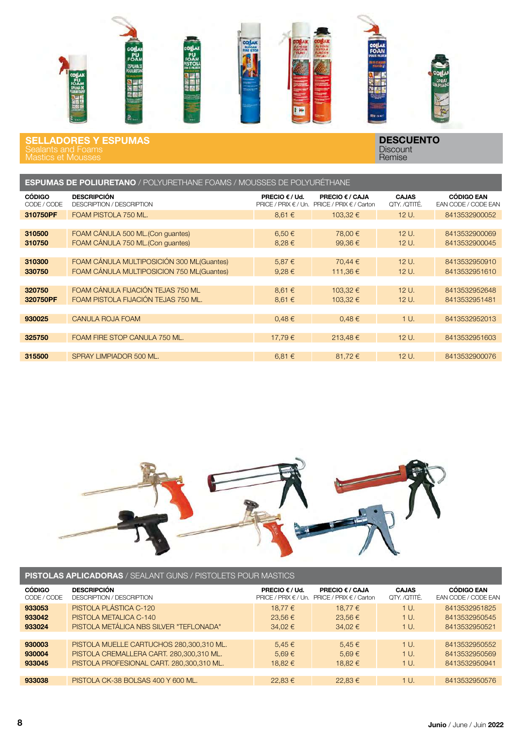

SELLADORES Y ESPUMAS Mastics et Mousses

| <b>ESPUMAS DE POLIURETANO</b> / POLYURETHANE FOAMS / MOUSSES DE POLYURÉTHANE |                                                        |                                                   |                                                       |                              |                                          |  |
|------------------------------------------------------------------------------|--------------------------------------------------------|---------------------------------------------------|-------------------------------------------------------|------------------------------|------------------------------------------|--|
| <b>CÓDIGO</b><br>CODE / CODE                                                 | <b>DESCRIPCIÓN</b><br><b>DESCRIPTION / DESCRIPTION</b> | <b>PRECIO € / Ud.</b><br>PRICE / PRIX $\in$ / Un. | <b>PRECIO € / CAJA</b><br>PRICE / PRIX $\in$ / Carton | <b>CAJAS</b><br>QTY. /QTITÉ. | <b>CÓDIGO EAN</b><br>EAN CODE / CODE EAN |  |
| 310750PF                                                                     | FOAM PISTOLA 750 ML.                                   | 8,61 €                                            | 103.32 €                                              | 12 U.                        | 8413532900052                            |  |
|                                                                              |                                                        |                                                   |                                                       |                              |                                          |  |
| 310500                                                                       | FOAM CÁNULA 500 ML. (Con quantes)                      | $6.50 \in$                                        | 78.00 €                                               | 12 U.                        | 8413532900069                            |  |
| 310750                                                                       | FOAM CÁNULA 750 ML. (Con guantes)                      | 8,28€                                             | 99.36€                                                | 12 U.                        | 8413532900045                            |  |
|                                                                              |                                                        |                                                   |                                                       |                              |                                          |  |
| 310300                                                                       | FOAM CÁNULA MULTIPOSICIÓN 300 ML(Guantes)              | 5,87€                                             | 70,44 €                                               | $12U$ .                      | 8413532950910                            |  |
| 330750                                                                       | FOAM CÁNULA MULTIPOSICION 750 ML(Guantes)              | $9.28 \in$                                        | 111,36€                                               | 12 U.                        | 8413532951610                            |  |
|                                                                              |                                                        |                                                   |                                                       |                              |                                          |  |
| 320750                                                                       | FOAM CÁNULA FIJACIÓN TEJAS 750 ML                      | 8,61 €                                            | 103.32 €                                              | $12U$ .                      | 8413532952648                            |  |
| 320750PF                                                                     | FOAM PISTOLA FIJACIÓN TEJAS 750 ML.                    | 8,61 €                                            | 103,32 €                                              | $12U$ .                      | 8413532951481                            |  |
|                                                                              |                                                        |                                                   |                                                       |                              |                                          |  |
| 930025                                                                       | CANULA ROJA FOAM                                       | $0.48 \in$                                        | 0,48€                                                 | 1 U.                         | 8413532952013                            |  |
|                                                                              |                                                        |                                                   |                                                       |                              |                                          |  |
| 325750                                                                       | FOAM FIRE STOP CANULA 750 ML.                          | 17.79€                                            | 213.48€                                               | 12 U.                        | 8413532951603                            |  |
|                                                                              |                                                        |                                                   |                                                       |                              |                                          |  |
| 315500                                                                       | SPRAY LIMPIADOR 500 ML.                                | 6,81€                                             | 81,72€                                                | 12 U.                        | 8413532900076                            |  |



| <b>PISTOLAS APLICADORAS / SEALANT GUNS / PISTOLETS POUR MASTICS</b> |                                                        |                                                        |                                                       |                              |                                          |  |
|---------------------------------------------------------------------|--------------------------------------------------------|--------------------------------------------------------|-------------------------------------------------------|------------------------------|------------------------------------------|--|
| <b>CÓDIGO</b><br>CODE / CODE                                        | <b>DESCRIPCIÓN</b><br><b>DESCRIPTION / DESCRIPTION</b> | <b>PRECIO € / Ud.</b><br>PRICE / PRIX $\epsilon$ / Un. | <b>PRECIO € / CAJA</b><br>PRICE / PRIX $\in$ / Carton | <b>CAJAS</b><br>QTY. /QTITÉ. | <b>CÓDIGO EAN</b><br>EAN CODE / CODE EAN |  |
| 933053                                                              | PISTOLA PLÁSTICA C-120                                 | 18.77 €                                                | 18.77 €                                               | 1 U.                         | 8413532951825                            |  |
| 933042                                                              | PISTOLA METALICA C-140                                 | 23.56€                                                 | 23.56€                                                | 1 U.                         | 8413532950545                            |  |
| 933024                                                              | PISTOLA METÁLICA NBS SILVER "TEFLONADA"                | 34,02 €                                                | $34.02 \in$                                           | 1 U.                         | 8413532950521                            |  |
|                                                                     |                                                        |                                                        |                                                       |                              |                                          |  |
| 930003                                                              | PISTOLA MUELLE CARTUCHOS 280,300,310 ML.               | $5,45 \in$                                             | $5,45 \in$                                            | $1U$ .                       | 8413532950552                            |  |
| 930004                                                              | PISTOLA CREMALLERA CART. 280,300,310 ML.               | $5.69 \in$                                             | $5.69 \in$                                            | 1 U.                         | 8413532950569                            |  |
| 933045                                                              | PISTOLA PROFESIONAL CART. 280,300,310 ML.              | 18.82 €                                                | 18.82 €                                               | 1 U.                         | 8413532950941                            |  |
|                                                                     |                                                        |                                                        |                                                       |                              |                                          |  |
| 933038                                                              | PISTOLA CK-38 BOLSAS 400 Y 600 ML.                     | 22.83€                                                 | 22.83 €                                               | 1 U.                         | 8413532950576                            |  |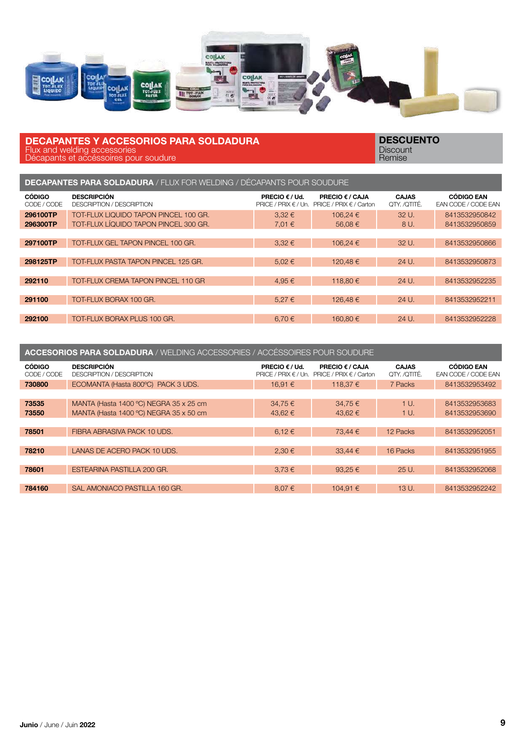

#### DECAPANTES Y ACCESORIOS PARA SOLDADURA Flux and welding accessories

Décapants et accéssoires pour soudure

| <b>DECAPANTES PARA SOLDADURA / FLUX FOR WELDING / DÉCAPANTS POUR SOUDURE</b> |                                                                                |                                           |                                                                                            |                              |                                          |  |  |
|------------------------------------------------------------------------------|--------------------------------------------------------------------------------|-------------------------------------------|--------------------------------------------------------------------------------------------|------------------------------|------------------------------------------|--|--|
| <b>CÓDIGO</b><br>CODE / CODE                                                 | <b>DESCRIPCIÓN</b><br><b>DESCRIPTION / DESCRIPTION</b>                         | <b>PRECIO <math>\epsilon</math> / Ud.</b> | <b>PRECIO <math>\epsilon</math> / CAJA</b><br>PRICE / PRIX € / Un. PRICE / PRIX € / Carton | <b>CAJAS</b><br>QTY. /QTITÉ. | <b>CÓDIGO EAN</b><br>EAN CODE / CODE EAN |  |  |
| 296100TP<br>296300TP                                                         | TOT-FLUX LIQUIDO TAPON PINCEL 100 GR.<br>TOT-FLUX LÍQUIDO TAPON PINCEL 300 GR. | $3.32 \in$<br>7,01 €                      | 106.24 €<br>56.08€                                                                         | 32U<br>8 U.                  | 8413532950842<br>8413532950859           |  |  |
| 297100TP                                                                     | TOT-FLUX GEL TAPON PINCEL 100 GR.                                              | $3,32 \in$                                | 106.24 €                                                                                   | 32 U.                        | 8413532950866                            |  |  |
| 298125TP                                                                     | TOT-FLUX PASTA TAPON PINCEL 125 GR.                                            | $5.02 \in$                                | 120.48€                                                                                    | 24 U.                        | 8413532950873                            |  |  |
| 292110                                                                       | TOT-FLUX CREMA TAPON PINCEL 110 GR                                             | 4.95 €                                    | 118.80 €                                                                                   | 24 U.                        | 8413532952235                            |  |  |
| 291100                                                                       | TOT-FLUX BORAX 100 GR.                                                         | 5.27€                                     | 126.48€                                                                                    | 24 U.                        | 8413532952211                            |  |  |
| 292100                                                                       | TOT-FLUX BORAX PLUS 100 GR.                                                    | $6.70 \in$                                | 160.80 €                                                                                   | 24 U.                        | 8413532952228                            |  |  |

| <b>ACCESORIOS PARA SOLDADURA / WELDING ACCESSORIES / ACCÉSSOIRES POUR SOUDURE</b> |                                                 |                                                   |                                                |                              |                                          |  |  |
|-----------------------------------------------------------------------------------|-------------------------------------------------|---------------------------------------------------|------------------------------------------------|------------------------------|------------------------------------------|--|--|
| <b>CÓDIGO</b><br>CODE / CODE                                                      | <b>DESCRIPCIÓN</b><br>DESCRIPTION / DESCRIPTION | <b>PRECIO € / Ud.</b><br>PRICE / PRIX $\in$ / Un. | PRECIO € / CAJA<br>PRICE / PRIX $\in$ / Carton | <b>CAJAS</b><br>OTY. /OTITÉ. | <b>CÓDIGO EAN</b><br>EAN CODE / CODE EAN |  |  |
| 730800                                                                            | ECOMANTA (Hasta 800°C) PACK 3 UDS.              | 16.91 €                                           | 118.37 €                                       | 7 Packs                      | 8413532953492                            |  |  |
|                                                                                   |                                                 |                                                   |                                                |                              |                                          |  |  |
| 73535                                                                             | MANTA (Hasta 1400 °C) NEGRA 35 x 25 cm          | 34,75€                                            | 34.75 €                                        | 1 U.                         | 8413532953683                            |  |  |
| 73550                                                                             | MANTA (Hasta 1400 °C) NEGRA 35 x 50 cm          | 43.62 €                                           | 43.62 €                                        | 1 U.                         | 8413532953690                            |  |  |
|                                                                                   |                                                 |                                                   |                                                |                              |                                          |  |  |
| 78501                                                                             | FIBRA ABRASIVA PACK 10 UDS.                     | 6.12€                                             | 73.44 €                                        | 12 Packs                     | 8413532952051                            |  |  |
|                                                                                   |                                                 |                                                   |                                                |                              |                                          |  |  |
| 78210                                                                             | LANAS DE ACERO PACK 10 UDS.                     | 2,30€                                             | 33.44€                                         | 16 Packs                     | 8413532951955                            |  |  |
|                                                                                   |                                                 |                                                   |                                                |                              |                                          |  |  |
| 78601                                                                             | ESTEARINA PASTILLA 200 GR.                      | $3.73 \in$                                        | 93.25 $\epsilon$                               | 25U                          | 8413532952068                            |  |  |
|                                                                                   |                                                 |                                                   |                                                |                              |                                          |  |  |
| 784160                                                                            | SAL AMONIACO PASTILLA 160 GR.                   | 8.07€                                             | 104.91 €                                       | 13 U.                        | 8413532952242                            |  |  |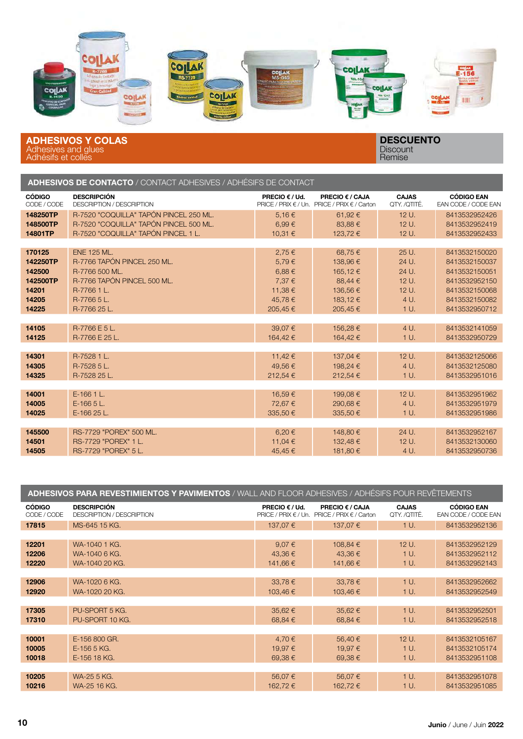

ADHESIVOS Y COLAS Adhesives and glues Adhésifs et colles

| <b>ADHESIVOS DE CONTACTO /</b> CONTACT ADHESIVES / ADHÉSIFS DE CONTACT |                                                        |                |                                                                 |                              |                                          |  |
|------------------------------------------------------------------------|--------------------------------------------------------|----------------|-----------------------------------------------------------------|------------------------------|------------------------------------------|--|
| <b>CÓDIGO</b><br>CODE / CODE                                           | <b>DESCRIPCIÓN</b><br><b>DESCRIPTION / DESCRIPTION</b> | PRECIO € / Ud. | PRECIO € / CAJA<br>PRICE / PRIX € / Un. PRICE / PRIX € / Carton | <b>CAJAS</b><br>QTY. /QTITÉ. | <b>CÓDIGO EAN</b><br>EAN CODE / CODE EAN |  |
| 148250TP                                                               | R-7520 "COQUILLA" TAPÓN PINCEL 250 ML.                 | 5,16€          | 61,92€                                                          | 12 U.                        | 8413532952426                            |  |
| 148500TP                                                               | R-7520 "COQUILLA" TAPÓN PINCEL 500 ML.                 | 6,99€          | 83.88€                                                          | $12U$ .                      | 8413532952419                            |  |
| 14801TP                                                                | R-7520 "COQUILLA" TAPÓN PINCEL 1 L.                    | 10,31 €        | 123,72€                                                         | 12 U.                        | 8413532952433                            |  |
|                                                                        |                                                        |                |                                                                 |                              |                                          |  |
| 170125                                                                 | <b>ENE 125 ML.</b>                                     | 2,75€          | 68,75€                                                          | 25 U.                        | 8413532150020                            |  |
| 142250TP                                                               | R-7766 TAPÓN PINCEL 250 ML.                            | 5,79€          | 138,96€                                                         | 24 U.                        | 8413532150037                            |  |
| 142500                                                                 | R-7766 500 ML.                                         | 6,88€          | 165,12€                                                         | 24 U.                        | 8413532150051                            |  |
| 142500TP                                                               | R-7766 TAPÓN PINCEL 500 ML.                            | 7,37 €         | 88,44 €                                                         | 12 U.                        | 8413532952150                            |  |
| 14201                                                                  | R-7766 1 L.                                            | 11,38€         | 136,56€                                                         | 12 U.                        | 8413532150068                            |  |
| 14205                                                                  | R-7766 5 L.                                            | 45,78€         | 183,12€                                                         | 4 U.                         | 8413532150082                            |  |
| 14225                                                                  | R-7766 25 L.                                           | 205,45€        | 205,45€                                                         | 1 U.                         | 8413532950712                            |  |
|                                                                        |                                                        |                |                                                                 |                              |                                          |  |
| 14105                                                                  | R-7766 E 5 L.                                          | 39,07€         | 156,28€                                                         | 4 U.                         | 8413532141059                            |  |
| 14125                                                                  | R-7766 E 25 L.                                         | 164,42€        | 164,42€                                                         | 1 U.                         | 8413532950729                            |  |
|                                                                        |                                                        |                |                                                                 |                              |                                          |  |
| 14301                                                                  | R-7528 1 L.                                            | 11,42 €        | 137,04 €                                                        | 12 U.                        | 8413532125066                            |  |
| 14305                                                                  | R-7528 5 L.                                            | 49,56€         | 198,24 €                                                        | 4 U.                         | 8413532125080                            |  |
| 14325                                                                  | R-7528 25 L.                                           | 212,54€        | 212.54 €                                                        | 1 U.                         | 8413532951016                            |  |
|                                                                        |                                                        |                |                                                                 |                              |                                          |  |
| 14001                                                                  | E-166 1 L.                                             | 16,59€         | 199,08€                                                         | 12 U.                        | 8413532951962                            |  |
| 14005                                                                  | $E-16655L$                                             | 72,67€         | 290,68€                                                         | 4 U.                         | 8413532951979                            |  |
| 14025                                                                  | E-166 25 L.                                            | 335,50€        | 335,50€                                                         | 1 U.                         | 8413532951986                            |  |
|                                                                        |                                                        |                |                                                                 |                              |                                          |  |
| 145500                                                                 | RS-7729 "POREX" 500 ML.                                | 6,20€          | 148,80 €                                                        | 24 U.                        | 8413532952167                            |  |
| 14501                                                                  | RS-7729 "POREX" 1 L.                                   | 11,04 €        | 132,48€                                                         | 12 U.                        | 8413532130060                            |  |
| 14505                                                                  | RS-7729 "POREX" 5 L.                                   | 45.45€         | 181.80 €                                                        | 4 U.                         | 8413532950736                            |  |

| ADHESIVOS PARA REVESTIMIENTOS Y PAVIMENTOS / WALL AND FLOOR ADHESIVES / ADHÉSIFS POUR REVÊTEMENTS |                                                 |                                                     |                                                |                              |                                          |  |
|---------------------------------------------------------------------------------------------------|-------------------------------------------------|-----------------------------------------------------|------------------------------------------------|------------------------------|------------------------------------------|--|
| <b>CÓDIGO</b><br>CODE / CODE                                                                      | <b>DESCRIPCIÓN</b><br>DESCRIPTION / DESCRIPTION | PRECIO $\epsilon$ / Ud.<br>PRICE / PRIX $\in$ / Un. | PRECIO € / CAJA<br>PRICE / PRIX $\in$ / Carton | <b>CAJAS</b><br>QTY. /QTITÉ. | <b>CÓDIGO EAN</b><br>EAN CODE / CODE EAN |  |
| 17815                                                                                             | MS-645 15 KG.                                   | 137,07€                                             | 137,07 €                                       | 1 U.                         | 8413532952136                            |  |
|                                                                                                   |                                                 |                                                     |                                                |                              |                                          |  |
| 12201                                                                                             | WA-1040 1 KG.                                   | 9,07€                                               | 108,84 €                                       | 12 U.                        | 8413532952129                            |  |
| 12206                                                                                             | WA-1040 6 KG.                                   | 43,36€                                              | 43,36€                                         | $1U$ .                       | 8413532952112                            |  |
| 12220                                                                                             | WA-1040 20 KG.                                  | 141,66 €                                            | 141,66 €                                       | 1 U.                         | 8413532952143                            |  |
|                                                                                                   |                                                 |                                                     |                                                |                              |                                          |  |
| 12906                                                                                             | WA-1020 6 KG.                                   | 33,78€                                              | $33,78 \in$                                    | 1 U.                         | 8413532952662                            |  |
| 12920                                                                                             | WA-1020 20 KG.                                  | 103,46€                                             | 103,46 €                                       | 1 U.                         | 8413532952549                            |  |
|                                                                                                   |                                                 |                                                     |                                                |                              |                                          |  |
| 17305                                                                                             | PU-SPORT 5 KG.                                  | 35,62€                                              | 35,62€                                         | 1 U.                         | 8413532952501                            |  |
| 17310                                                                                             | PU-SPORT 10 KG.                                 | 68,84 €                                             | 68,84 €                                        | 1 U.                         | 8413532952518                            |  |
|                                                                                                   |                                                 |                                                     |                                                |                              |                                          |  |
| 10001                                                                                             | E-156 800 GR.                                   | 4,70€                                               | 56,40€                                         | 12 U.                        | 8413532105167                            |  |
| 10005                                                                                             | E-156 5 KG.                                     | 19,97€                                              | 19,97€                                         | $1U$ .                       | 8413532105174                            |  |
| 10018                                                                                             | E-156 18 KG.                                    | 69,38€                                              | 69,38€                                         | 1 U.                         | 8413532951108                            |  |
|                                                                                                   |                                                 |                                                     |                                                |                              |                                          |  |
| 10205                                                                                             | WA-25 5 KG.                                     | 56,07€                                              | 56,07€                                         | 1 U.                         | 8413532951078                            |  |
| 10216                                                                                             | WA-25 16 KG.                                    | 162,72 €                                            | 162,72€                                        | 1 U.                         | 8413532951085                            |  |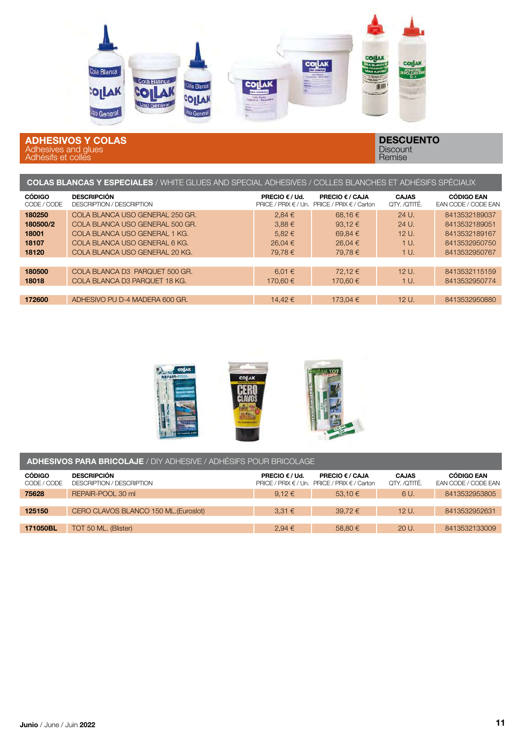

#### ADHESIVOS Y COLAS Adhesives and glues Adhésifs et colles

| COLAS BLANCAS Y ESPECIALES / WHITE GLUES AND SPECIAL ADHESIVES / COLLES BLANCHES ET ADHÉSIFS SPÉCIAUX |                                                        |                                                                       |                                                       |                              |                                          |  |  |
|-------------------------------------------------------------------------------------------------------|--------------------------------------------------------|-----------------------------------------------------------------------|-------------------------------------------------------|------------------------------|------------------------------------------|--|--|
| <b>CÓDIGO</b><br>CODE / CODE                                                                          | <b>DESCRIPCIÓN</b><br><b>DESCRIPTION / DESCRIPTION</b> | <b>PRECIO <math>\epsilon</math> / Ud.</b><br>PRICE / PRIX $\in$ / Un. | <b>PRECIO € / CAJA</b><br>PRICE / PRIX $\in$ / Carton | <b>CAJAS</b><br>QTY. /QTITÉ. | <b>CÓDIGO EAN</b><br>EAN CODE / CODE EAN |  |  |
| 180250                                                                                                | COLA BLANCA USO GENERAL 250 GR.                        | 2,84€                                                                 | 68.16€                                                | 24 U.                        | 8413532189037                            |  |  |
| 180500/2                                                                                              | COLA BLANCA USO GENERAL 500 GR.                        | $3,88 \in$                                                            | 93.12 $\epsilon$                                      | 24 U.                        | 8413532189051                            |  |  |
| 18001                                                                                                 | COLA BLANCA USO GENERAL 1 KG.                          | $5,82 \in$                                                            | 69,84€                                                | 12 U.                        | 8413532189167                            |  |  |
| 18107                                                                                                 | COLA BLANCA USO GENERAL 6 KG.                          | 26.04 €                                                               | 26.04€                                                | 1 U.                         | 8413532950750                            |  |  |
| 18120                                                                                                 | COLA BLANCA USO GENERAL 20 KG.                         | 79.78€                                                                | 79.78€                                                | 1 U.                         | 8413532950767                            |  |  |
|                                                                                                       |                                                        |                                                                       |                                                       |                              |                                          |  |  |
| 180500                                                                                                | COLA BLANCA D3 PARQUET 500 GR.                         | 6.01 $\in$                                                            | 72.12€                                                | 12U                          | 8413532115159                            |  |  |
| 18018                                                                                                 | COLA BLANCA D3 PARQUET 18 KG.                          | 170,60 €                                                              | 170,60 €                                              | 1 U.                         | 8413532950774                            |  |  |
|                                                                                                       |                                                        |                                                                       |                                                       |                              |                                          |  |  |
| 172600                                                                                                | ADHESIVO PU D-4 MADERA 600 GR.                         | 14.42 €                                                               | 173.04 €                                              | $12U$ .                      | 8413532950880                            |  |  |



| <b>ADHESIVOS PARA BRICOLAJE</b> / DIY ADHESIVE / ADHÉSIFS POUR BRICOLAGE |                                                        |                                |                                                                               |                              |                                          |  |  |
|--------------------------------------------------------------------------|--------------------------------------------------------|--------------------------------|-------------------------------------------------------------------------------|------------------------------|------------------------------------------|--|--|
| <b>CÓDIGO</b><br>CODE / CODE                                             | <b>DESCRIPCIÓN</b><br><b>DESCRIPTION / DESCRIPTION</b> | <b>PRECIO</b> $\epsilon$ / Ud. | <b>PRECIO € / CAJA</b><br><b>PRICE / PRIX € / Un. PRICE / PRIX € / Carton</b> | <b>CAJAS</b><br>QTY. /QTITÉ. | <b>CÓDIGO EAN</b><br>EAN CODE / CODE EAN |  |  |
| 75628                                                                    | REPAIR-POOL 30 mL                                      | $9.12 \in$                     | 53.10 €                                                                       | 6 U.                         | 8413532953805                            |  |  |
|                                                                          |                                                        |                                |                                                                               |                              |                                          |  |  |
| 125150                                                                   | CERO CLAVOS BLANCO 150 ML. (Euroslot)                  | $3.31 \in$                     | 39.72 €                                                                       | 12 U.                        | 8413532952631                            |  |  |
|                                                                          |                                                        |                                |                                                                               |                              |                                          |  |  |
| 171050BL                                                                 | TOT 50 ML. (Blister)                                   | 2,94€                          | 58,80 €                                                                       | 20 U.                        | 8413532133009                            |  |  |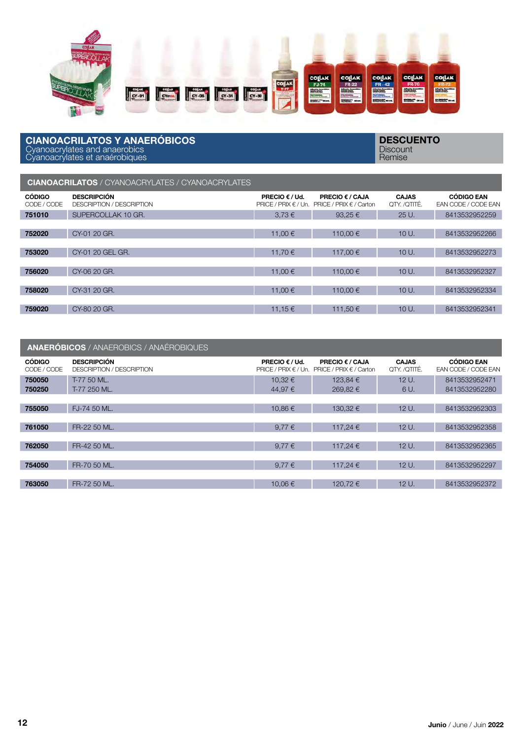

#### CIANOACRILATOS Y ANAERÓBICOS Cyanoacrylates and anaerobics Cyanoacrylates et anaérobiques

**DESCUENTO Discount** Remise

### CIANOACRILATOS / CYANOACRYLATES / CYANOACRYLATES

| <b>CÓDIGO</b><br>CODE / CODE | <b>DESCRIPCIÓN</b><br><b>DESCRIPTION / DESCRIPTION</b> | <b>PRECIO <math>\epsilon</math> / Ud.</b><br>$PRICE / PRIX \in / Un.$ | <b>PRECIO € / CAJA</b><br>PRICE / PRIX $\epsilon$ / Carton | <b>CAJAS</b><br>OTY /OTITÉ. | <b>CÓDIGO EAN</b><br><b>EAN CODE / CODE EAN</b> |
|------------------------------|--------------------------------------------------------|-----------------------------------------------------------------------|------------------------------------------------------------|-----------------------------|-------------------------------------------------|
| 751010                       | SUPERCOLLAK 10 GR.                                     | 3.73€                                                                 | 93.25 $\epsilon$                                           | 25U                         | 8413532952259                                   |
|                              |                                                        |                                                                       |                                                            |                             |                                                 |
| 752020                       | CY-01 20 GR.                                           | 11.00 €                                                               | 110.00 €                                                   | 10U                         | 8413532952266                                   |
|                              |                                                        |                                                                       |                                                            |                             |                                                 |
| 753020                       | CY-01 20 GEL GR.                                       | 11.70 €                                                               | 117.00 €                                                   | $10U$ .                     | 8413532952273                                   |
|                              |                                                        |                                                                       |                                                            |                             |                                                 |
| 756020                       | CY-06 20 GR.                                           | 11.00 €                                                               | 110.00 €                                                   | 10U                         | 8413532952327                                   |
|                              |                                                        |                                                                       |                                                            |                             |                                                 |
| 758020                       | CY-31 20 GR.                                           | 11.00 €                                                               | 110.00 €                                                   | $10U$ .                     | 8413532952334                                   |
|                              |                                                        |                                                                       |                                                            |                             |                                                 |
| 759020                       | CY-80 20 GR.                                           | 11.15 €                                                               | 111.50 €                                                   | 10U                         | 8413532952341                                   |
|                              |                                                        |                                                                       |                                                            |                             |                                                 |

|                              | <b>ANAERÓBICOS / ANAEROBICS / ANAÉROBIQUES</b>  |                                                   |                                                   |                              |                                          |
|------------------------------|-------------------------------------------------|---------------------------------------------------|---------------------------------------------------|------------------------------|------------------------------------------|
| <b>CÓDIGO</b><br>CODE / CODE | <b>DESCRIPCIÓN</b><br>DESCRIPTION / DESCRIPTION | <b>PRECIO € / Ud.</b><br>$PRICE / PRIX \in / Un.$ | PRECIO € / CAJA<br><b>PRICE / PRIX € / Carton</b> | <b>CAJAS</b><br>QTY. /QTITÉ. | <b>CÓDIGO EAN</b><br>EAN CODE / CODE EAN |
| 750050<br>750250             | T-77 50 ML.<br>T-77 250 ML.                     | $10.32 \in$<br>44.97 €                            | 123.84 €<br>269.82 €                              | 12U.<br>6 U.                 | 8413532952471<br>8413532952280           |
| 755050                       | FJ-74 50 ML.                                    | 10.86 €                                           | 130.32 €                                          | 12 U.                        | 8413532952303                            |
| 761050                       | FR-22 50 ML.                                    | 9.77 $\xi$                                        | 117.24 €                                          | 12 U.                        | 8413532952358                            |
| 762050                       | FR-42 50 ML.                                    | 9,77 $\xi$                                        | 117.24 €                                          | 12 U.                        | 8413532952365                            |
| 754050                       | FR-70 50 ML.                                    | 9,77 $\xi$                                        | 117,24 €                                          | 12 U.                        | 8413532952297                            |
| 763050                       | FR-72 50 ML.                                    | 10,06€                                            | 120,72 €                                          | 12 U.                        | 8413532952372                            |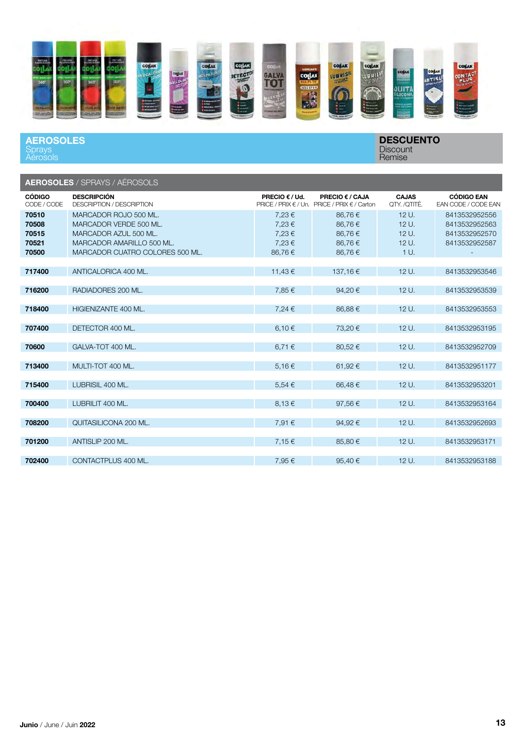

#### **AEROSOLES Sprays** Aérosols

|                                           | <b>AEROSOLES / SPRAYS / AÉROSOLS</b>                                                                                                     |                                            |                                                                 |                                          |                                                                  |
|-------------------------------------------|------------------------------------------------------------------------------------------------------------------------------------------|--------------------------------------------|-----------------------------------------------------------------|------------------------------------------|------------------------------------------------------------------|
| <b>CÓDIGO</b><br>CODE / CODE              | <b>DESCRIPCIÓN</b><br><b>DESCRIPTION / DESCRIPTION</b>                                                                                   | <b>PRECIO € / Ud.</b>                      | PRECIO € / CAJA<br>PRICE / PRIX € / Un. PRICE / PRIX € / Carton | <b>CAJAS</b><br>OTY. /OTITÉ.             | <b>CÓDIGO EAN</b><br>EAN CODE / CODE EAN                         |
| 70510<br>70508<br>70515<br>70521<br>70500 | MARCADOR ROJO 500 ML.<br>MARCADOR VERDE 500 ML.<br>MARCADOR AZUL 500 ML.<br>MARCADOR AMARILLO 500 ML.<br>MARCADOR CUATRO COLORES 500 ML. | 7,23€<br>7,23€<br>7,23€<br>7.23€<br>86,76€ | 86,76€<br>86,76€<br>86,76€<br>86,76€<br>86,76€                  | 12 U.<br>12 U.<br>12 U.<br>12 U.<br>1 U. | 8413532952556<br>8413532952563<br>8413532952570<br>8413532952587 |
| 717400                                    | ANTICALORICA 400 ML.                                                                                                                     | 11,43 €                                    | 137,16€                                                         | 12 U.                                    | 8413532953546                                                    |
| 716200                                    | RADIADORES 200 ML.                                                                                                                       | 7,85€                                      | 94,20€                                                          | 12 U.                                    | 8413532953539                                                    |
| 718400                                    | HIGIENIZANTE 400 ML.                                                                                                                     | 7,24 €                                     | 86,88€                                                          | 12 U.                                    | 8413532953553                                                    |
| 707400                                    | DETECTOR 400 ML.                                                                                                                         | 6,10 €                                     | 73,20€                                                          | 12 U.                                    | 8413532953195                                                    |
| 70600                                     | GALVA-TOT 400 ML.                                                                                                                        | 6,71 €                                     | 80,52€                                                          | 12 U.                                    | 8413532952709                                                    |
| 713400                                    | MULTI-TOT 400 ML.                                                                                                                        | 5,16€                                      | 61,92€                                                          | 12 U.                                    | 8413532951177                                                    |
| 715400                                    | LUBRISIL 400 ML.                                                                                                                         | $5.54 \in$                                 | 66,48€                                                          | 12 U.                                    | 8413532953201                                                    |
| 700400                                    | LUBRILIT 400 ML.                                                                                                                         | $8.13 \in$                                 | 97,56€                                                          | 12 U.                                    | 8413532953164                                                    |
| 708200                                    | QUITASILICONA 200 ML.                                                                                                                    | 7,91 €                                     | 94,92€                                                          | 12 U.                                    | 8413532952693                                                    |
| 701200                                    | ANTISLIP 200 ML.                                                                                                                         | 7,15€                                      | 85,80€                                                          | $12U$ .                                  | 8413532953171                                                    |
| 702400                                    | CONTACTPLUS 400 ML.                                                                                                                      | 7.95€                                      | 95.40 €                                                         | 12 U.                                    | 8413532953188                                                    |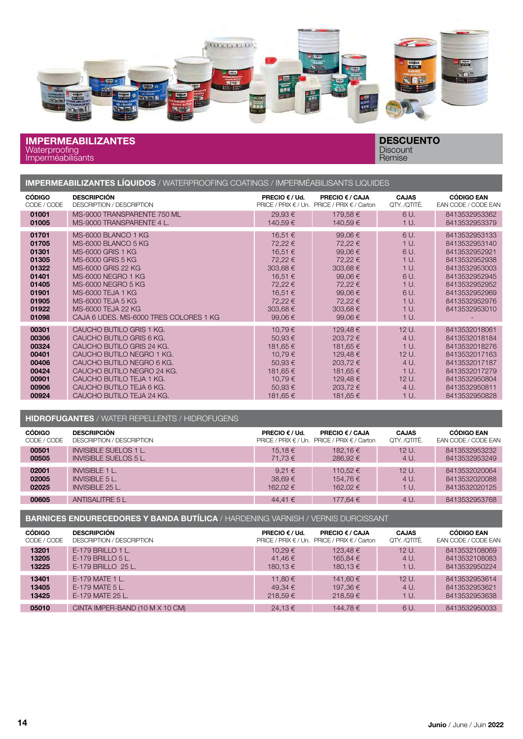

#### IMPERMEABILIZANTES **Waterproofing** Imperméabilisants

DESCUENTO **Discount** Remise

| <b>IMPERMEABILIZANTES LÍQUIDOS</b> / WATERPROOFING COATINGS / IMPERMÉABILISANTS LIQUIDES |  |  |
|------------------------------------------------------------------------------------------|--|--|
|                                                                                          |  |  |

| <b>CÓDIGO</b>                                                                                   | <b>DESCRIPCIÓN</b>                                                                                                                                                                                                                                               | PRECIO $\epsilon$ / Ud.                                                                                               | <b>PRECIO € / CAJA</b>                                                                                                           | <b>CAJAS</b>                                                                         | <b>CÓDIGO EAN</b>                                                                                                                                                      |
|-------------------------------------------------------------------------------------------------|------------------------------------------------------------------------------------------------------------------------------------------------------------------------------------------------------------------------------------------------------------------|-----------------------------------------------------------------------------------------------------------------------|----------------------------------------------------------------------------------------------------------------------------------|--------------------------------------------------------------------------------------|------------------------------------------------------------------------------------------------------------------------------------------------------------------------|
| CODE / CODE                                                                                     | DESCRIPTION / DESCRIPTION                                                                                                                                                                                                                                        | PRICE / PRIX < / Un.                                                                                                  | PRICE / PRIX € / Carton                                                                                                          | QTY. /QTITÉ.                                                                         | EAN CODE / CODE EAN                                                                                                                                                    |
| 01001                                                                                           | MS-9000 TRANSPARENTE 750 ML                                                                                                                                                                                                                                      | 29,93€                                                                                                                | 179,58€                                                                                                                          | 6 U.                                                                                 | 8413532953362                                                                                                                                                          |
| 01005                                                                                           | MS-9000 TRANSPARENTE 4 L.                                                                                                                                                                                                                                        | 140,59€                                                                                                               | 140,59€                                                                                                                          | 1 U.                                                                                 | 8413532953379                                                                                                                                                          |
| 01701<br>01705<br>01301<br>01305<br>01322<br>01401<br>01405<br>01901<br>01905<br>01922<br>01098 | MS-6000 BLANCO 1 KG<br>MS-6000 BLANCO 5 KG<br>MS-6000 GRIS 1 KG<br>MS-6000 GRIS 5 KG<br>MS-6000 GRIS 22 KG<br>MS-6000 NEGRO 1 KG<br>MS-6000 NEGRO 5 KG<br>MS-6000 TEJA 1 KG<br>MS-6000 TEJA 5 KG<br>MS-6000 TEJA 22 KG<br>CAJA 6 UDES. MS-6000 TRES COLORES 1 KG | 16,51 €<br>72,22 €<br>16,51 €<br>72,22 €<br>303,68€<br>16,51 €<br>72,22 €<br>16,51 €<br>72,22 €<br>303,68€<br>99,06 € | 99,06€<br>72,22 €<br>99,06 €<br>72,22 €<br>$303,68 \in$<br>99,06€<br>72,22 €<br>99,06€<br>72,22 €<br>303,68€<br>99,06 $\epsilon$ | 6 U.<br>1 U.<br>6 U.<br>1 U.<br>1 U.<br>6 U.<br>1 U.<br>6 U.<br>1 U.<br>1 U.<br>1 U. | 8413532953133<br>8413532953140<br>8413532952921<br>8413532952938<br>8413532953003<br>8413532952945<br>8413532952952<br>8413532952969<br>8413532952976<br>8413532953010 |
| 00301                                                                                           | CAUCHO BUTILO GRIS 1 KG.                                                                                                                                                                                                                                         | 10,79€                                                                                                                | 129,48€                                                                                                                          | 12 U.                                                                                | 8413532018061                                                                                                                                                          |
| 00306                                                                                           | CAUCHO BUTILO GRIS 6 KG.                                                                                                                                                                                                                                         | 50,93€                                                                                                                | 203,72€                                                                                                                          | 4 U.                                                                                 | 8413532018184                                                                                                                                                          |
| 00324                                                                                           | CAUCHO BUTILO GRIS 24 KG.                                                                                                                                                                                                                                        | 181,65 €                                                                                                              | 181,65 €                                                                                                                         | 1 U.                                                                                 | 8413532018276                                                                                                                                                          |
| 00401                                                                                           | CAUCHO BUTILO NEGRO 1 KG.                                                                                                                                                                                                                                        | 10,79€                                                                                                                | 129,48€                                                                                                                          | 12 U.                                                                                | 8413532017163                                                                                                                                                          |
| 00406                                                                                           | CAUCHO BUTILO NEGRO 6 KG.                                                                                                                                                                                                                                        | 50,93€                                                                                                                | 203,72€                                                                                                                          | 4 U.                                                                                 | 8413532017187                                                                                                                                                          |
| 00424                                                                                           | CAUCHO BUTILO NEGRO 24 KG.                                                                                                                                                                                                                                       | 181,65 €                                                                                                              | 181,65 €                                                                                                                         | 1 U.                                                                                 | 8413532017279                                                                                                                                                          |
| 00901                                                                                           | CAUCHO BUTILO TEJA 1 KG.                                                                                                                                                                                                                                         | 10,79€                                                                                                                | 129,48€                                                                                                                          | 12 U.                                                                                | 8413532950804                                                                                                                                                          |
| 00906                                                                                           | CAUCHO BUTILO TEJA 6 KG.                                                                                                                                                                                                                                         | 50,93 €                                                                                                               | 203,72€                                                                                                                          | 4 U.                                                                                 | 8413532950811                                                                                                                                                          |
| 00924                                                                                           | CAUCHO BUTILO TEJA 24 KG.                                                                                                                                                                                                                                        | 181,65 €                                                                                                              | 181,65 €                                                                                                                         | 1 U.                                                                                 | 8413532950828                                                                                                                                                          |

#### HIDROFUGANTES / WATER REPELLENTS / HIDROFUGENS

| <b>CÓDIGO</b> | <b>DESCRIPCIÓN</b>               | PRECIO $\epsilon$ / Ud.  | <b>PRECIO <math>\epsilon</math> / CAJA</b> | <b>CAJAS</b> | <b>CÓDIGO EAN</b>   |
|---------------|----------------------------------|--------------------------|--------------------------------------------|--------------|---------------------|
| CODE / CODE   | <b>DESCRIPTION / DESCRIPTION</b> | PRICE / PRIX $\in$ / Un. | PRICE / PRIX $\in$ / Carton                | OTY. /OTITÉ. | EAN CODE / CODE EAN |
| 00501         | <b>INVISIBLE SUELOS 1 L.</b>     | 15.18 €                  | 182.16€                                    | $12U$ .      | 8413532953232       |
| 00505         | INVISIBLE SUELOS 5 L.            | 71.73 €                  | 286.92 €                                   | 4 U.         | 8413532953249       |
| 02001         | <b>INVISIBLE 1 L.</b>            | 9.21 $\in$               | 110.52 €                                   | $12U$ .      | 8413532020064       |
| 02005         | <b>INVISIBLE 5 L.</b>            | 38.69€                   | 154.76 €                                   | 4 U.         | 8413532020088       |
| 02025         | <b>INVISIBLE 25 L.</b>           | 162.02 €                 | 162.02 €                                   | 1 U.         | 8413532020125       |
| 00605         | <b>ANTISALITRE 5 L</b>           | 44.41 €                  | 177.64 €                                   | 4 U.         | 8413532953768       |

BARNICES ENDURECEDORES Y BANDA BUTÍLICA / HARDENING VARNISH / VERNIS DURCISSANT

| <b>CÓDIGO</b> | <b>DESCRIPCIÓN</b>              | <b>PRECIO € / Ud.</b> | <b>PRECIO € / CAJA</b>                              | <b>CAJAS</b> | <b>CÓDIGO EAN</b>          |
|---------------|---------------------------------|-----------------------|-----------------------------------------------------|--------------|----------------------------|
| CODE / CODE   | DESCRIPTION / DESCRIPTION       |                       | <b>PRICE / PRIX € / Un. PRICE / PRIX € / Carton</b> | QTY. /QTITÉ. | <b>EAN CODE / CODE EAN</b> |
| 13201         | $E-179$ BRILLO 1 L.             | 10.29 €               | 123.48 €                                            | $12U$ .      | 8413532108069              |
| 13205         | $E-179$ BRILLO 5 L.             | 41.46 €               | 165.84 €                                            | 4 U.         | 8413532108083              |
| 13225         | E-179 BRILLO 25 L.              | 180.13 €              | 180.13 €                                            | 1 U.         | 8413532950224              |
| 13401         | E-179 MATE 1 L.                 | 11.80 €               | 141.60 €                                            | $12U$ .      | 8413532953614              |
| 13405         | $E-179$ MATE $5$ L.             | 49.34 €               | 197.36 €                                            | 4 U.         | 8413532953621              |
| 13425         | E-179 MATE 25 L.                | 218.59€               | 218.59 €                                            | 1 U.         | 8413532953638              |
| 05010         | CINTA IMPER-BAND (10 M X 10 CM) | 24.13€                | 144.78€                                             | 6 U.         | 8413532950033              |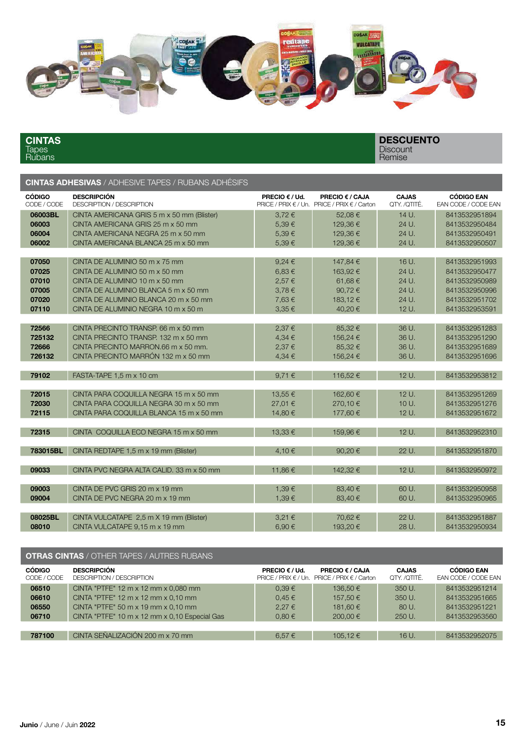

CINTAS Tapes Rubans

**DESCUENTO Discount** Remise

# CINTAS ADHESIVAS / ADHESIVE TAPES / RUBANS ADHÉSIFS

| <b>CÓDIGO</b><br>CODE / CODE | <b>DESCRIPCIÓN</b><br><b>DESCRIPTION / DESCRIPTION</b> | PRECIO € / Ud.  | PRECIO € / CAJA<br>PRICE / PRIX € / Un. PRICE / PRIX € / Carton | <b>CAJAS</b><br>QTY. /QTITÉ. | <b>CÓDIGO EAN</b><br>EAN CODE / CODE EAN |
|------------------------------|--------------------------------------------------------|-----------------|-----------------------------------------------------------------|------------------------------|------------------------------------------|
| 06003BL                      | CINTA AMERICANA GRIS 5 m x 50 mm (Blister)             | $3,72 \in$      | 52.08€                                                          | 14 U.                        | 8413532951894                            |
| 06003                        | CINTA AMERICANA GRIS 25 m x 50 mm                      | 5,39€           | 129,36€                                                         | 24 U.                        | 8413532950484                            |
| 06004                        | CINTA AMERICANA NEGRA 25 m x 50 mm                     | 5,39€           | 129,36€                                                         | 24 U.                        | 8413532950491                            |
| 06002                        | CINTA AMERICANA BLANCA 25 m x 50 mm                    | 5.39€           | 129.36€                                                         | 24 U.                        | 8413532950507                            |
|                              |                                                        |                 |                                                                 |                              |                                          |
| 07050                        | CINTA DE ALUMINIO 50 m x 75 mm                         | $9,24 \in$      | 147,84 €                                                        | 16 U.                        | 8413532951993                            |
| 07025                        | CINTA DE ALUMINIO 50 m x 50 mm                         | 6,83€           | 163.92 €                                                        | 24 U.                        | 8413532950477                            |
| 07010                        | CINTA DE ALUMINIO 10 m x 50 mm                         | 2,57 €          | 61,68€                                                          | 24 U.                        | 8413532950989                            |
| 07005                        | CINTA DE ALUMINIO BLANCA 5 m x 50 mm                   |                 | 90,72€                                                          | 24 U.                        | 8413532950996                            |
| 07020                        | CINTA DE ALUMINIO BLANCA 20 m x 50 mm                  | 3,78€<br>7,63€  |                                                                 | 24 U.                        | 8413532951702                            |
| 07110                        |                                                        | 3.35 €          | 183,12€                                                         | 12 U.                        |                                          |
|                              | CINTA DE ALUMINIO NEGRA 10 m x 50 m                    |                 | 40.20€                                                          |                              | 8413532953591                            |
| 72566                        | CINTA PRECINTO TRANSP, 66 m x 50 mm                    | 2,37€           | 85.32€                                                          | 36 U.                        | 8413532951283                            |
| 725132                       | CINTA PRECINTO TRANSP, 132 m x 50 mm                   | 4,34 €          | 156,24 €                                                        | 36 U.                        | 8413532951290                            |
| 72666                        | CINTA PRECINTO MARRON.66 m x 50 mm.                    |                 |                                                                 |                              | 8413532951689                            |
| 726132                       | CINTA PRECINTO MARRÓN 132 m x 50 mm                    | 2,37€<br>4,34 € | 85,32€                                                          | 36 U.<br>36 U.               |                                          |
|                              |                                                        |                 | 156,24 €                                                        |                              | 8413532951696                            |
| 79102                        | FASTA-TAPE 1,5 m x 10 cm                               | 9,71€           | 116,52€                                                         | $12U$ .                      | 8413532953812                            |
|                              |                                                        |                 |                                                                 |                              |                                          |
| 72015                        | CINTA PARA COQUILLA NEGRA 15 m x 50 mm                 | 13,55€          | 162,60€                                                         | 12 U.                        | 8413532951269                            |
| 72030                        | CINTA PARA COQUILLA NEGRA 30 m x 50 mm                 | 27,01€          | 270,10€                                                         | 10 U.                        | 8413532951276                            |
| 72115                        | CINTA PARA COQUILLA BLANCA 15 m x 50 mm                | 14.80€          | 177,60€                                                         | 12 U.                        | 8413532951672                            |
|                              |                                                        |                 |                                                                 |                              |                                          |
| 72315                        | CINTA COQUILLA ECO NEGRA 15 m x 50 mm                  | 13,33 €         | 159,96€                                                         | 12 U.                        | 8413532952310                            |
|                              |                                                        |                 |                                                                 |                              |                                          |
| 783015BL                     | CINTA REDTAPE 1,5 m x 19 mm (Blister)                  | 4.10€           | 90.20€                                                          | 22 U.                        | 8413532951870                            |
|                              |                                                        |                 |                                                                 |                              |                                          |
| 09033                        | CINTA PVC NEGRA ALTA CALID. 33 m x 50 mm               | 11,86€          | 142,32 €                                                        | 12 U.                        | 8413532950972                            |
|                              |                                                        |                 |                                                                 |                              |                                          |
| 09003                        | CINTA DE PVC GRIS 20 m x 19 mm                         | 1,39€           | 83,40€                                                          | 60 U.                        | 8413532950958                            |
| 09004                        | CINTA DE PVC NEGRA 20 m x 19 mm                        | 1,39€           | 83,40 €                                                         | 60 U.                        | 8413532950965                            |
|                              |                                                        |                 |                                                                 |                              |                                          |
| 08025BL                      | CINTA VULCATAPE 2,5 m X 19 mm (Blister)                | 3,21 €          | 70,62€                                                          | 22 U.                        | 8413532951887                            |
| 08010                        | CINTA VULCATAPE 9.15 m x 19 mm                         | 6,90€           | 193,20€                                                         | 28 U.                        | 8413532950934                            |

|                     | <b>OTRAS CINTAS</b> / OTHER TAPES / AUTRES RUBANS |  |
|---------------------|---------------------------------------------------|--|
| <b>CÓDIGO</b>       | <b>DESCRIPCIÓN</b>                                |  |
| $- - - - - - - - -$ |                                                   |  |

| <b>CÓDIGO</b><br>CODE / CODE | <b>DESCRIPCIÓN</b><br>DESCRIPTION / DESCRIPTION                          | <b>PRECIO</b> $\epsilon$ / Ud. | <b>PRECIO € / CAJA</b><br>PRICE / PRIX € / Un. PRICE / PRIX € / Carton | <b>CAJAS</b><br>QTY. /QTITÉ. | <b>CÓDIGO EAN</b><br>EAN CODE / CODE EAN |
|------------------------------|--------------------------------------------------------------------------|--------------------------------|------------------------------------------------------------------------|------------------------------|------------------------------------------|
| 06510                        | CINTA "PTFE" $12 \text{ m} \times 12 \text{ mm} \times 0.080 \text{ mm}$ | $0.39 \in$                     | 136.50€                                                                | 350 U.                       | 8413532951214                            |
| 06610                        | CINTA "PTFE" $12 \text{ m} \times 12 \text{ mm} \times 0.10 \text{ mm}$  | $0.45 \in$                     | 157.50 €                                                               | 350 U.                       | 8413532951665                            |
| 06550                        | CINTA "PTFE" $50 \text{ m} \times 19 \text{ mm} \times 0.10 \text{ mm}$  | 2.27€                          | 181.60 €                                                               | 80 U.                        | 8413532951221                            |
| 06710                        | CINTA "PTFE" 10 m x 12 mm x 0,10 Especial Gas                            | $0.80 \in$                     | 200.00 €                                                               | 250 U.                       | 8413532953560                            |
|                              |                                                                          |                                |                                                                        |                              |                                          |
| 787100                       | CINTA SEÑALIZACIÓN 200 m x 70 mm                                         | $6.57 \in$                     | 105.12 €                                                               | 16 U.                        | 8413532952075                            |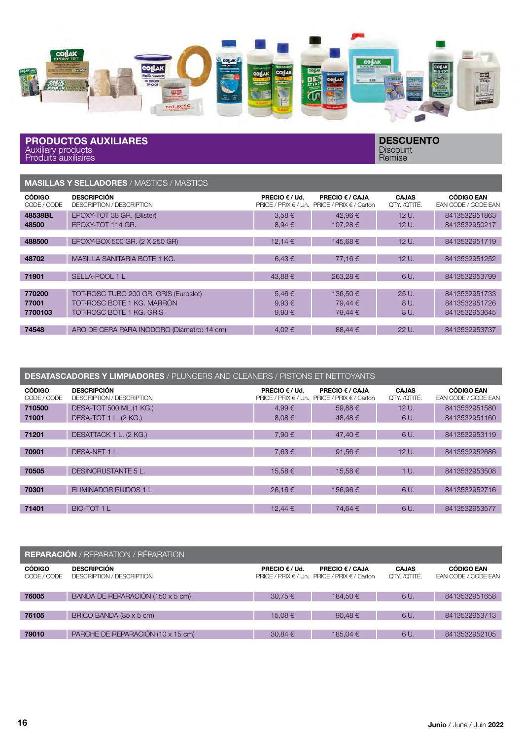

PRODUCTOS AUXILIARES Auxiliary products Produits auxiliaires

**DESCUENTO Discount** Remise

MASILLAS Y SELLADORES / MASTICS / MASTICS

| <b>CÓDIGO</b><br>CODE / CODE | <b>DESCRIPCIÓN</b><br>DESCRIPTION / DESCRIPTION | <b>PRECIO</b> $\epsilon$ / Ud.<br>$PRICE / PRIX \in / Un.$ | PRECIO € / CAJA<br>PRICE / PRIX $\in$ / Carton | <b>CAJAS</b><br>QTY. /QTITÉ. | <b>CÓDIGO EAN</b><br>EAN CODE / CODE EAN |
|------------------------------|-------------------------------------------------|------------------------------------------------------------|------------------------------------------------|------------------------------|------------------------------------------|
| 48538BL                      | EPOXY-TOT 38 GR. (Blister)                      | $3.58 \in$                                                 | 42.96€                                         | 12U.                         | 8413532951863                            |
| 48500                        | EPOXY-TOT 114 GR.                               | $8.94 \in$                                                 | 107.28 €                                       | 12 U.                        | 8413532950217                            |
|                              |                                                 |                                                            |                                                |                              |                                          |
| 488500                       | EPOXY-BOX 500 GR. (2 X 250 GR)                  | 12,14 €                                                    | 145.68€                                        | 12 U.                        | 8413532951719                            |
|                              |                                                 |                                                            |                                                |                              |                                          |
| 48702                        | MASILLA SANITARIA BOTE 1 KG.                    | 6,43€                                                      | 77.16€                                         | 12 U.                        | 8413532951252                            |
|                              |                                                 |                                                            |                                                |                              |                                          |
| 71901                        | SELLA-POOL 1 L                                  | 43,88€                                                     | 263,28€                                        | 6 U.                         | 8413532953799                            |
|                              |                                                 |                                                            |                                                |                              |                                          |
| 770200                       | TOT-ROSC TUBO 200 GR. GRIS (Euroslot)           | 5,46€                                                      | 136.50€                                        | 25U                          | 8413532951733                            |
| 77001                        | TOT-ROSC BOTE 1 KG, MARRÓN                      | $9.93 \in$                                                 | 79.44 €                                        | 8 U.                         | 8413532951726                            |
| 7700103                      | TOT-ROSC BOTE 1 KG, GRIS                        | $9.93 \in$                                                 | 79.44 €                                        | 8 U.                         | 8413532953645                            |
|                              |                                                 |                                                            |                                                |                              |                                          |
| 74548                        | ARO DE CERA PARA INODORO (Diámetro: 14 cm)      | 4,02€                                                      | 88.44 €                                        | 22 U.                        | 8413532953737                            |

| <b>DESATASCADORES Y LIMPIADORES</b> / PLUNGERS AND CLEANERS / PISTONS ET NETTOYANTS |                                                        |                                                            |                                                       |                              |                                          |
|-------------------------------------------------------------------------------------|--------------------------------------------------------|------------------------------------------------------------|-------------------------------------------------------|------------------------------|------------------------------------------|
| <b>CÓDIGO</b><br>CODE / CODE                                                        | <b>DESCRIPCIÓN</b><br><b>DESCRIPTION / DESCRIPTION</b> | <b>PRECIO</b> $\epsilon$ / Ud.<br>PRICE / PRIX $\in$ / Un. | <b>PRECIO € / CAJA</b><br>PRICE / PRIX $\in$ / Carton | <b>CAJAS</b><br>QTY. /QTITÉ. | <b>CÓDIGO EAN</b><br>EAN CODE / CODE EAN |
| 710500<br>71001                                                                     | DESA-TOT 500 ML.(1 KG.)<br>DESA-TOT 1 L. (2 KG.)       | 4,99€<br>8.08€                                             | 59.88€<br>48.48€                                      | $12U$ .<br>6 U.              | 8413532951580<br>8413532951160           |
| 71201                                                                               | DESATTACK 1 L. (2 KG.)                                 | 7.90€                                                      | 47.40 €                                               | 6 U.                         | 8413532953119                            |
| 70901                                                                               | DESA-NET 1 L.                                          | 7.63€                                                      | 91.56€                                                | 12 U.                        | 8413532952686                            |
| 70505                                                                               | DESINCRUSTANTE 5 L.                                    | 15,58€                                                     | 15,58€                                                | 1 U.                         | 8413532953508                            |
| 70301                                                                               | ELIMINADOR RUIDOS 1 L.                                 | 26.16€                                                     | 156.96€                                               | 6 U.                         | 8413532952716                            |
| 71401                                                                               | BIO-TOT 1 L                                            | 12,44 €                                                    | 74.64 €                                               | 6 U.                         | 8413532953577                            |

| <b>REPARACIÓN</b> / REPARATION / RÉPARATION |                                                 |                                           |                                                                        |                              |                                                 |  |
|---------------------------------------------|-------------------------------------------------|-------------------------------------------|------------------------------------------------------------------------|------------------------------|-------------------------------------------------|--|
| <b>CÓDIGO</b><br>CODE / CODE                | <b>DESCRIPCIÓN</b><br>DESCRIPTION / DESCRIPTION | <b>PRECIO <math>\epsilon</math> / Ud.</b> | <b>PRECIO € / CAJA</b><br>PRICE / PRIX € / Un. PRICE / PRIX € / Carton | <b>CAJAS</b><br>OTY. /OTITÉ. | <b>CÓDIGO EAN</b><br><b>EAN CODE / CODE EAN</b> |  |
| 76005                                       | BANDA DE REPARACIÓN (150 x 5 cm)                | 30.75€                                    | 184.50€                                                                | 6 U.                         | 8413532951658                                   |  |
|                                             |                                                 |                                           |                                                                        |                              |                                                 |  |
| 76105                                       | BRICO BANDA (85 x 5 cm)                         | 15.08€                                    | 90.48€                                                                 | 6 U.                         | 8413532953713                                   |  |
|                                             |                                                 |                                           |                                                                        |                              |                                                 |  |
| 79010                                       | PARCHE DE REPARACIÓN (10 x 15 cm)               | 30.84€                                    | 185.04 €                                                               | 6 U.                         | 8413532952105                                   |  |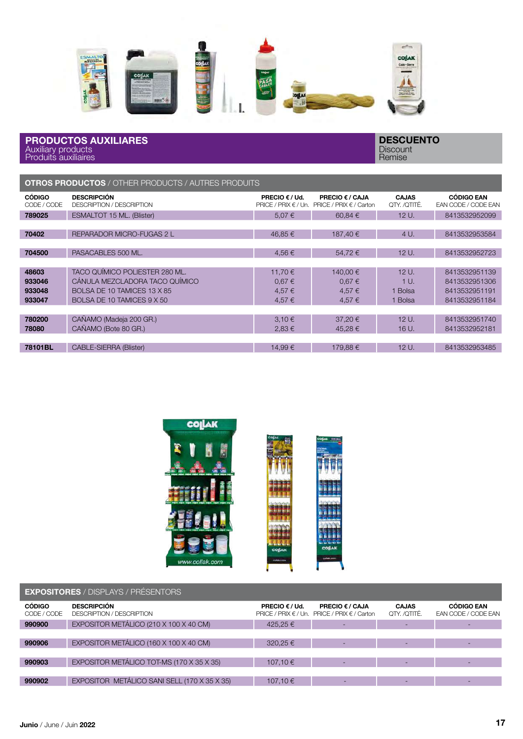

#### PRODUCTOS AUXILIARES Auxiliary products Produits auxiliaires

| <b>OTROS PRODUCTOS</b> / OTHER PRODUCTS / AUTRES PRODUITS |  |  |
|-----------------------------------------------------------|--|--|
|                                                           |  |  |

| <b>CÓDIGO</b><br>CODE / CODE | <b>DESCRIPCIÓN</b><br>DESCRIPTION / DESCRIPTION | <b>PRECIO <math>\epsilon</math> / Ud.</b><br>PRICE / PRIX $\in$ / Un. | <b>PRECIO € / CAJA</b><br>PRICE / PRIX € / Carton | <b>CAJAS</b><br>QTY. /QTITÉ. | <b>CÓDIGO EAN</b><br>EAN CODE / CODE EAN |
|------------------------------|-------------------------------------------------|-----------------------------------------------------------------------|---------------------------------------------------|------------------------------|------------------------------------------|
| 789025                       | ESMALTOT 15 ML. (Blister)                       | 5,07€                                                                 | 60,84€                                            | 12 U.                        | 8413532952099                            |
|                              |                                                 |                                                                       |                                                   |                              |                                          |
| 70402                        | REPARADOR MICRO-FUGAS 2 L                       | 46.85€                                                                | 187.40 €                                          | 4 U.                         | 8413532953584                            |
|                              |                                                 |                                                                       |                                                   |                              |                                          |
| 704500                       | PASACABLES 500 ML.                              | 4,56€                                                                 | 54,72€                                            | 12 U.                        | 8413532952723                            |
|                              |                                                 |                                                                       |                                                   |                              |                                          |
| 48603                        | TACO QUÍMICO POLIESTER 280 ML.                  | 11.70 €                                                               | 140.00 €                                          | 12 U.                        | 8413532951139                            |
| 933046                       | CÁNULA MEZCLADORA TACO QUÍMICO                  | $0.67 \in$                                                            | 0.67€                                             | 1 <sub>U</sub>               | 8413532951306                            |
| 933048                       | BOLSA DE 10 TAMICES 13 X 85                     | 4,57€                                                                 | 4.57 €                                            | 1 Bolsa                      | 8413532951191                            |
| 933047                       | BOLSA DE 10 TAMICES 9 X 50                      | 4,57 €                                                                | 4,57 €                                            | 1 Bolsa                      | 8413532951184                            |
|                              |                                                 |                                                                       |                                                   |                              |                                          |
| 780200                       | CAÑAMO (Madeja 200 GR.)                         | $3.10 \in$                                                            | 37.20€                                            | $12U$ .                      | 8413532951740                            |
| 78080                        | CAÑAMO (Bote 80 GR.)                            | 2,83€                                                                 | 45,28€                                            | 16 U.                        | 8413532952181                            |
|                              |                                                 |                                                                       |                                                   |                              |                                          |
| 78101BL                      | CABLE-SIERRA (Blister)                          | 14.99€                                                                | 179.88€                                           | 12 U.                        | 8413532953485                            |



| <b>EXPOSITORES</b> / DISPLAYS / PRÉSENTORS |                                                 |                                           |                                                                        |                              |                                          |
|--------------------------------------------|-------------------------------------------------|-------------------------------------------|------------------------------------------------------------------------|------------------------------|------------------------------------------|
| <b>CÓDIGO</b><br>CODE / CODE               | <b>DESCRIPCIÓN</b><br>DESCRIPTION / DESCRIPTION | <b>PRECIO <math>\epsilon</math> / Ud.</b> | <b>PRECIO € / CAJA</b><br>PRICE / PRIX € / Un. PRICE / PRIX € / Carton | <b>CAJAS</b><br>QTY. /QTITÉ. | <b>CÓDIGO EAN</b><br>EAN CODE / CODE EAN |
| 990900                                     | EXPOSITOR METÁLICO (210 X 100 X 40 CM)          | 425,25€                                   |                                                                        |                              |                                          |
|                                            |                                                 |                                           |                                                                        |                              |                                          |
| 990906                                     | EXPOSITOR METÁLICO (160 X 100 X 40 CM)          | 320,25€                                   |                                                                        |                              |                                          |
|                                            |                                                 |                                           |                                                                        |                              |                                          |
| 990903                                     | EXPOSITOR METÁLICO TOT-MS (170 X 35 X 35)       | 107,10 €                                  |                                                                        |                              |                                          |
|                                            |                                                 |                                           |                                                                        |                              |                                          |
| 990902                                     | EXPOSITOR METÁLICO SANI SELL (170 X 35 X 35)    | 107.10 €                                  |                                                                        |                              |                                          |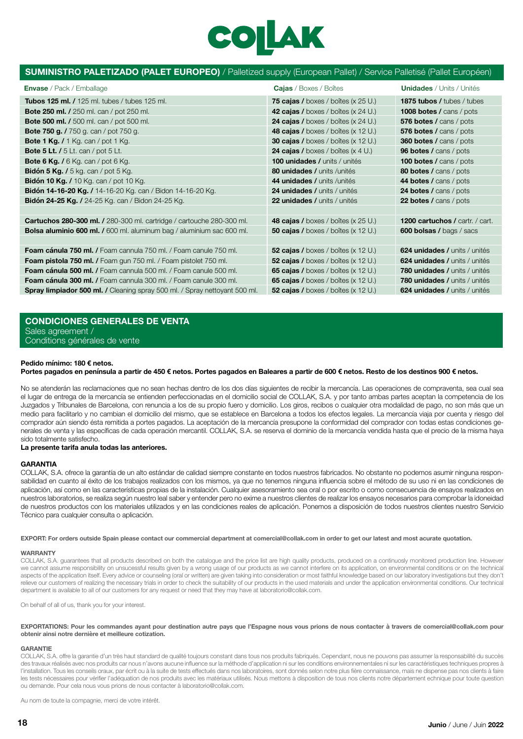# COILAK

#### SUMINISTRO PALETIZADO (PALET EUROPEO) / Palletized supply (European Pallet) / Service Palletisé (Pallet Européen)

| 75 cajas / boxes / boîtes (x $25$ U.)<br><b>Tubos 125 ml. /</b> 125 ml. tubes / tubes 125 ml.<br>1875 tubos / tubes / tubes<br>42 cajas / boxes / boîtes (x 24 U.)<br><b>Bote 250 ml.</b> / 250 ml. can / pot 250 ml.<br><b>1008 botes / cans / pots</b><br><b>24 cajas /</b> boxes / boîtes (x 24 U.)<br><b>Bote 500 ml. /</b> 500 ml. can / pot 500 ml.<br>576 botes / cans / pots<br><b>Bote 750 g.</b> / 750 g. can / pot 750 g.<br><b>48 cajas /</b> boxes / boîtes $(x 12 U)$<br>576 botes / cans / pots<br><b>30 cajas /</b> boxes / boîtes (x 12 U.)<br><b>Bote 1 Kg.</b> $/$ 1 Kg. can $/$ pot 1 Kg.<br><b>360 botes / cans / pots</b><br>24 cajas / boxes / boîtes $(x 4 U)$<br><b>Bote 5 Lt.</b> $/5$ Lt. can $/$ pot $5$ Lt.<br><b>96 botes / cans / pots</b><br><b>Bote 6 Kg.</b> / $6$ Kg. can / pot $6$ Kg.<br><b>100 unidades / units / unités</b><br><b>100 botes / cans / pots</b><br>80 unidades / units / unités<br><b>Bidón 5 Kg.</b> / 5 kg. can / pot 5 Kg.<br>80 botes / cans / pots<br><b>Bidón 10 Kg.</b> / 10 Kg. can / pot 10 Kg.<br>44 botes / cans / pots<br>44 unidades / units / unités<br><b>Bidón 14-16-20 Kg.</b> / 14-16-20 Kg. can / Bidon 14-16-20 Kg.<br><b>24 botes / cans / pots</b><br><b>24 unidades / units / unités</b><br><b>Bidón 24-25 Kg.</b> / 24-25 Kg. can / Bidon 24-25 Kg.<br>22 unidades / units / unités<br><b>22 botes / cans / pots</b><br><b>Cartuchos 280-300 ml. /</b> 280-300 ml. cartridge / cartouche 280-300 ml.<br><b>48 cajas /</b> boxes / boîtes (x $25 \text{ U}$ .)<br>1200 cartuchos / cartr. / cart.<br><b>Bolsa aluminio 600 ml. /</b> 600 ml. aluminum bag / aluminium sac 600 ml.<br><b>50 cajas /</b> boxes / boîtes (x 12 U.)<br><b>600 bolsas / bags / sacs</b><br><b>Foam cánula 750 ml. /</b> Foam cannula 750 ml. / Foam canule 750 ml.<br><b>52 cajas /</b> boxes / boîtes $(x 12 U)$<br>624 unidades / units / unités<br>52 cajas / boxes / boîtes $(x 12 U)$<br><b>Foam pistola 750 ml. / Foam gun 750 ml. / Foam pistolet 750 ml.</b><br>624 unidades / units / unités<br><b>65 cajas /</b> boxes / boîtes $(x 12 U)$<br><b>Foam cánula 500 ml. /</b> Foam cannula 500 ml. / Foam canule 500 ml.<br>780 unidades / units / unités<br><b>Foam cánula 300 ml. /</b> Foam cannula 300 ml. / Foam canule 300 ml.<br>65 cajas / boxes / boîtes $(x 12 U)$<br>780 unidades / units / unités | <b>Envase</b> / Pack / Emballage                                                  | <b>Cajas</b> / Boxes / Boîtes               | <b>Unidades</b> / Units / Unités |
|-----------------------------------------------------------------------------------------------------------------------------------------------------------------------------------------------------------------------------------------------------------------------------------------------------------------------------------------------------------------------------------------------------------------------------------------------------------------------------------------------------------------------------------------------------------------------------------------------------------------------------------------------------------------------------------------------------------------------------------------------------------------------------------------------------------------------------------------------------------------------------------------------------------------------------------------------------------------------------------------------------------------------------------------------------------------------------------------------------------------------------------------------------------------------------------------------------------------------------------------------------------------------------------------------------------------------------------------------------------------------------------------------------------------------------------------------------------------------------------------------------------------------------------------------------------------------------------------------------------------------------------------------------------------------------------------------------------------------------------------------------------------------------------------------------------------------------------------------------------------------------------------------------------------------------------------------------------------------------------------------------------------------------------------------------------------------------------------------------------------------------------------------------------------------------------------------------------------------------------------------------------------------------------------------------------------------------------------------------------------------------|-----------------------------------------------------------------------------------|---------------------------------------------|----------------------------------|
|                                                                                                                                                                                                                                                                                                                                                                                                                                                                                                                                                                                                                                                                                                                                                                                                                                                                                                                                                                                                                                                                                                                                                                                                                                                                                                                                                                                                                                                                                                                                                                                                                                                                                                                                                                                                                                                                                                                                                                                                                                                                                                                                                                                                                                                                                                                                                                             |                                                                                   |                                             |                                  |
|                                                                                                                                                                                                                                                                                                                                                                                                                                                                                                                                                                                                                                                                                                                                                                                                                                                                                                                                                                                                                                                                                                                                                                                                                                                                                                                                                                                                                                                                                                                                                                                                                                                                                                                                                                                                                                                                                                                                                                                                                                                                                                                                                                                                                                                                                                                                                                             |                                                                                   |                                             |                                  |
|                                                                                                                                                                                                                                                                                                                                                                                                                                                                                                                                                                                                                                                                                                                                                                                                                                                                                                                                                                                                                                                                                                                                                                                                                                                                                                                                                                                                                                                                                                                                                                                                                                                                                                                                                                                                                                                                                                                                                                                                                                                                                                                                                                                                                                                                                                                                                                             |                                                                                   |                                             |                                  |
|                                                                                                                                                                                                                                                                                                                                                                                                                                                                                                                                                                                                                                                                                                                                                                                                                                                                                                                                                                                                                                                                                                                                                                                                                                                                                                                                                                                                                                                                                                                                                                                                                                                                                                                                                                                                                                                                                                                                                                                                                                                                                                                                                                                                                                                                                                                                                                             |                                                                                   |                                             |                                  |
|                                                                                                                                                                                                                                                                                                                                                                                                                                                                                                                                                                                                                                                                                                                                                                                                                                                                                                                                                                                                                                                                                                                                                                                                                                                                                                                                                                                                                                                                                                                                                                                                                                                                                                                                                                                                                                                                                                                                                                                                                                                                                                                                                                                                                                                                                                                                                                             |                                                                                   |                                             |                                  |
|                                                                                                                                                                                                                                                                                                                                                                                                                                                                                                                                                                                                                                                                                                                                                                                                                                                                                                                                                                                                                                                                                                                                                                                                                                                                                                                                                                                                                                                                                                                                                                                                                                                                                                                                                                                                                                                                                                                                                                                                                                                                                                                                                                                                                                                                                                                                                                             |                                                                                   |                                             |                                  |
|                                                                                                                                                                                                                                                                                                                                                                                                                                                                                                                                                                                                                                                                                                                                                                                                                                                                                                                                                                                                                                                                                                                                                                                                                                                                                                                                                                                                                                                                                                                                                                                                                                                                                                                                                                                                                                                                                                                                                                                                                                                                                                                                                                                                                                                                                                                                                                             |                                                                                   |                                             |                                  |
|                                                                                                                                                                                                                                                                                                                                                                                                                                                                                                                                                                                                                                                                                                                                                                                                                                                                                                                                                                                                                                                                                                                                                                                                                                                                                                                                                                                                                                                                                                                                                                                                                                                                                                                                                                                                                                                                                                                                                                                                                                                                                                                                                                                                                                                                                                                                                                             |                                                                                   |                                             |                                  |
|                                                                                                                                                                                                                                                                                                                                                                                                                                                                                                                                                                                                                                                                                                                                                                                                                                                                                                                                                                                                                                                                                                                                                                                                                                                                                                                                                                                                                                                                                                                                                                                                                                                                                                                                                                                                                                                                                                                                                                                                                                                                                                                                                                                                                                                                                                                                                                             |                                                                                   |                                             |                                  |
|                                                                                                                                                                                                                                                                                                                                                                                                                                                                                                                                                                                                                                                                                                                                                                                                                                                                                                                                                                                                                                                                                                                                                                                                                                                                                                                                                                                                                                                                                                                                                                                                                                                                                                                                                                                                                                                                                                                                                                                                                                                                                                                                                                                                                                                                                                                                                                             |                                                                                   |                                             |                                  |
|                                                                                                                                                                                                                                                                                                                                                                                                                                                                                                                                                                                                                                                                                                                                                                                                                                                                                                                                                                                                                                                                                                                                                                                                                                                                                                                                                                                                                                                                                                                                                                                                                                                                                                                                                                                                                                                                                                                                                                                                                                                                                                                                                                                                                                                                                                                                                                             |                                                                                   |                                             |                                  |
|                                                                                                                                                                                                                                                                                                                                                                                                                                                                                                                                                                                                                                                                                                                                                                                                                                                                                                                                                                                                                                                                                                                                                                                                                                                                                                                                                                                                                                                                                                                                                                                                                                                                                                                                                                                                                                                                                                                                                                                                                                                                                                                                                                                                                                                                                                                                                                             |                                                                                   |                                             |                                  |
|                                                                                                                                                                                                                                                                                                                                                                                                                                                                                                                                                                                                                                                                                                                                                                                                                                                                                                                                                                                                                                                                                                                                                                                                                                                                                                                                                                                                                                                                                                                                                                                                                                                                                                                                                                                                                                                                                                                                                                                                                                                                                                                                                                                                                                                                                                                                                                             |                                                                                   |                                             |                                  |
|                                                                                                                                                                                                                                                                                                                                                                                                                                                                                                                                                                                                                                                                                                                                                                                                                                                                                                                                                                                                                                                                                                                                                                                                                                                                                                                                                                                                                                                                                                                                                                                                                                                                                                                                                                                                                                                                                                                                                                                                                                                                                                                                                                                                                                                                                                                                                                             |                                                                                   |                                             |                                  |
|                                                                                                                                                                                                                                                                                                                                                                                                                                                                                                                                                                                                                                                                                                                                                                                                                                                                                                                                                                                                                                                                                                                                                                                                                                                                                                                                                                                                                                                                                                                                                                                                                                                                                                                                                                                                                                                                                                                                                                                                                                                                                                                                                                                                                                                                                                                                                                             |                                                                                   |                                             |                                  |
|                                                                                                                                                                                                                                                                                                                                                                                                                                                                                                                                                                                                                                                                                                                                                                                                                                                                                                                                                                                                                                                                                                                                                                                                                                                                                                                                                                                                                                                                                                                                                                                                                                                                                                                                                                                                                                                                                                                                                                                                                                                                                                                                                                                                                                                                                                                                                                             |                                                                                   |                                             |                                  |
|                                                                                                                                                                                                                                                                                                                                                                                                                                                                                                                                                                                                                                                                                                                                                                                                                                                                                                                                                                                                                                                                                                                                                                                                                                                                                                                                                                                                                                                                                                                                                                                                                                                                                                                                                                                                                                                                                                                                                                                                                                                                                                                                                                                                                                                                                                                                                                             |                                                                                   |                                             |                                  |
|                                                                                                                                                                                                                                                                                                                                                                                                                                                                                                                                                                                                                                                                                                                                                                                                                                                                                                                                                                                                                                                                                                                                                                                                                                                                                                                                                                                                                                                                                                                                                                                                                                                                                                                                                                                                                                                                                                                                                                                                                                                                                                                                                                                                                                                                                                                                                                             |                                                                                   |                                             |                                  |
|                                                                                                                                                                                                                                                                                                                                                                                                                                                                                                                                                                                                                                                                                                                                                                                                                                                                                                                                                                                                                                                                                                                                                                                                                                                                                                                                                                                                                                                                                                                                                                                                                                                                                                                                                                                                                                                                                                                                                                                                                                                                                                                                                                                                                                                                                                                                                                             |                                                                                   |                                             |                                  |
|                                                                                                                                                                                                                                                                                                                                                                                                                                                                                                                                                                                                                                                                                                                                                                                                                                                                                                                                                                                                                                                                                                                                                                                                                                                                                                                                                                                                                                                                                                                                                                                                                                                                                                                                                                                                                                                                                                                                                                                                                                                                                                                                                                                                                                                                                                                                                                             | <b>Spray limpiador 500 ml. /</b> Cleaning spray 500 ml. / Spray nettoyant 500 ml. | <b>52 cajas /</b> boxes / boîtes $(x 12 U)$ | 624 unidades / units / unités    |

CONDICIONES GENERALES DE VENTA Sales agreement / Conditions générales de vente

#### **Pedido mínimo: 180 € netos.**

#### **Portes pagados en península a partir de 450 € netos. Portes pagados en Baleares a partir de 600 € netos. Resto de los destinos 900 € netos.**

No se atenderán las reclamaciones que no sean hechas dentro de los dos días siguientes de recibir la mercancía. Las operaciones de compraventa, sea cual sea el lugar de entrega de la mercancía se entienden perfeccionadas en el domicilio social de COLLAK, S.A. y por tanto ambas partes aceptan la competencia de los Juzgados y Tribunales de Barcelona, con renuncia a los de su propio fuero y domicilio. Los giros, recibos o cualquier otra modalidad de pago, no son más que un medio para facilitarlo y no cambian el domicilio del mismo, que se establece en Barcelona a todos los efectos legales. La mercancía viaja por cuenta y riesgo del comprador aún siendo ésta remitida a portes pagados. La aceptación de la mercancía presupone la conformidad del comprador con todas estas condiciones generales de venta y las específicas de cada operación mercantil. COLLAK, S.A. se reserva el dominio de la mercancía vendida hasta que el precio de la misma haya sido totalmente satisfecho.

#### **La presente tarifa anula todas las anteriores.**

#### **GARANTIA**

COLLAK, S.A. ofrece la garantía de un alto estándar de calidad siempre constante en todos nuestros fabricados. No obstante no podemos asumir ninguna responsabilidad en cuanto al éxito de los trabajos realizados con los mismos, ya que no tenemos ninguna influencia sobre el método de su uso ni en las condiciones de aplicación, así como en las características propias de la instalación. Cualquier asesoramiento sea oral o por escrito o como consecuencia de ensayos realizados en nuestros laboratorios, se realiza según nuestro leal saber y entender pero no exime a nuestros clientes de realizar los ensayos necesarios para comprobar la idoneidad de nuestros productos con los materiales utilizados y en las condiciones reales de aplicación. Ponemos a disposición de todos nuestros clientes nuestro Servicio Técnico para cualquier consulta o aplicación.

**EXPORT: For orders outside Spain please contact our commercial department at comercial@collak.com in order to get our latest and most acurate quotation.** 

#### **WARRANTY**

COLLAK, S.A. guarantees that all products described on both the catalogue and the price list are high quality products, produced on a continuosly monitored production line. However we cannot assume responsibility on unsucessful results given by a wrong usage of our products as we cannot interfere on its application, on environmental conditions or on the technical aspects of the application itself. Every advice or counseling (oral or written) are given taking into consideration or most faithful knowledge based on our laboratory investigations but they don't relieve our customers of realizing the necessary trials in order to check the suitability of our products in the used materials and under the application environmental conditions. Our technical department is available to all of our customers for any request or need that they may have at laboratorio@collak.com.

On behalf of all of us, thank you for your interest.

#### **EXPORTATIONS: Pour les commandes ayant pour destination autre pays que l'Espagne nous vous prions de nous contacter à travers de comercial@collak.com pour obtenir ainsi notre dernière et meilleure cotization.**

#### **GARANTIE**

COLLAK, S.A. offre la garantie d'un très haut standard de qualité toujours constant dans tous nos produits fabriqués. Cependant, nous ne pouvons pas assumer la responsabilité du succès des travaux réalisés avec nos produits car nous n'avons aucune influence sur la méthode d'application ni sur les conditions environnementales ni sur les caractéristiques techniques propres à l'installation. Tous les conseils oraux, par écrit ou à la suite de tests effectués dans nos laboratoires, sont donnés selon notre plus fière connaissance, mais ne dispense pas nos clients à faire les tests nécessaires pour vérifier l'adéquation de nos produits avec les matériaux utilisés. Nous mettons à disposition de tous nos clients notre département echnique pour toute question ou demande. Pour cela nous vous prions de nous contacter à laboratorio@collak.com.

Au nom de toute la compagnie, merci de votre intérêt.